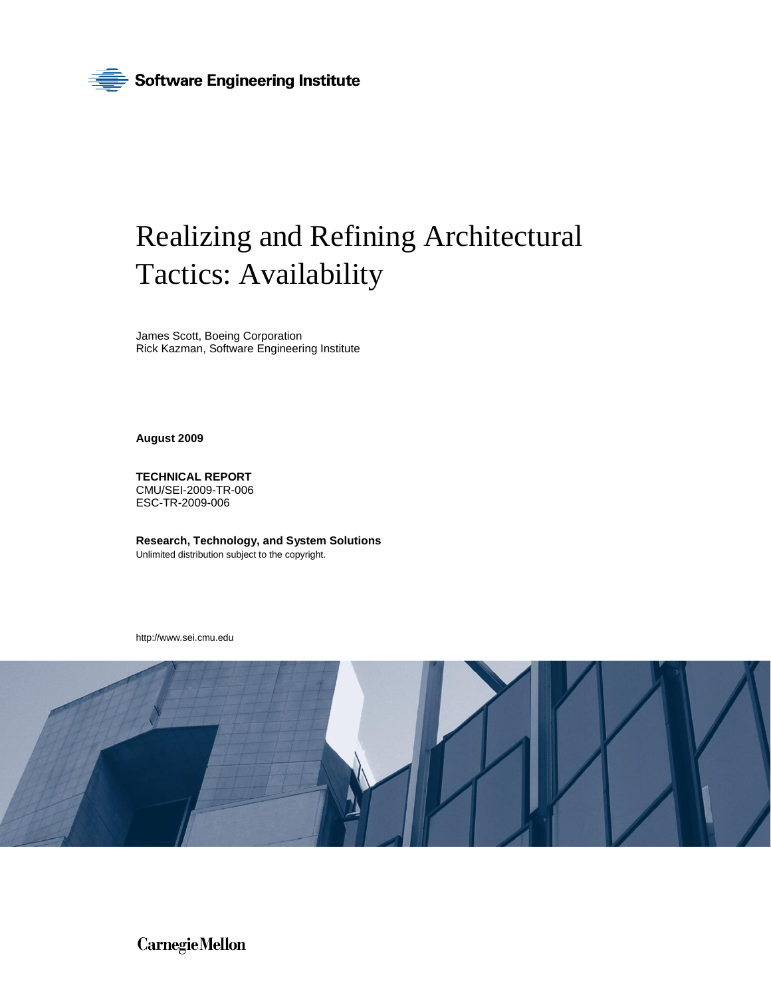

# Realizing and Refining Architectural Tactics: Availability

James Scott, Boeing Corporation Rick Kazman, Software Engineering Institute

**August 2009**

₹

**TECHNICAL REPORT** CMU/SEI-2009-TR-006 ESC-TR-2009-006

**Research, Technology, and System Solutions**  Unlimited distribution subject to the copyright.

http://www.sei.cmu.edu



**CarnegieMellon**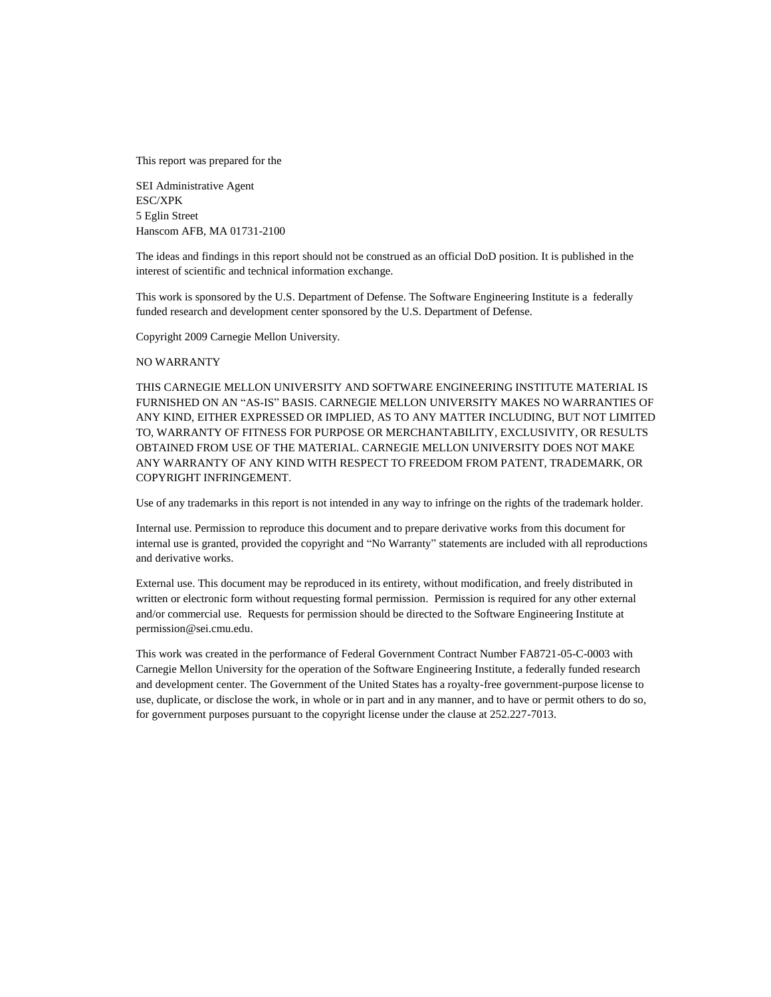This report was prepared for the

SEI Administrative Agent ESC/XPK 5 Eglin Street Hanscom AFB, MA 01731-2100

The ideas and findings in this report should not be construed as an official DoD position. It is published in the interest of scientific and technical information exchange.

This work is sponsored by the U.S. Department of Defense. The Software Engineering Institute is a federally funded research and development center sponsored by the U.S. Department of Defense.

Copyright 2009 Carnegie Mellon University.

#### NO WARRANTY

THIS CARNEGIE MELLON UNIVERSITY AND SOFTWARE ENGINEERING INSTITUTE MATERIAL IS FURNISHED ON AN "AS-IS" BASIS. CARNEGIE MELLON UNIVERSITY MAKES NO WARRANTIES OF ANY KIND, EITHER EXPRESSED OR IMPLIED, AS TO ANY MATTER INCLUDING, BUT NOT LIMITED TO, WARRANTY OF FITNESS FOR PURPOSE OR MERCHANTABILITY, EXCLUSIVITY, OR RESULTS OBTAINED FROM USE OF THE MATERIAL. CARNEGIE MELLON UNIVERSITY DOES NOT MAKE ANY WARRANTY OF ANY KIND WITH RESPECT TO FREEDOM FROM PATENT, TRADEMARK, OR COPYRIGHT INFRINGEMENT.

Use of any trademarks in this report is not intended in any way to infringe on the rights of the trademark holder.

Internal use. Permission to reproduce this document and to prepare derivative works from this document for internal use is granted, provided the copyright and "No Warranty" statements are included with all reproductions and derivative works.

External use. This document may be reproduced in its entirety, without modification, and freely distributed in written or electronic form without requesting formal permission. Permission is required for any other external and/or commercial use. Requests for permission should be directed to the Software Engineering Institute at [permission@sei.cmu.edu.](mailto:permission@sei.cmu.edu)

This work was created in the performance of Federal Government Contract Number FA8721-05-C-0003 with Carnegie Mellon University for the operation of the Software Engineering Institute, a federally funded research and development center. The Government of the United States has a royalty-free government-purpose license to use, duplicate, or disclose the work, in whole or in part and in any manner, and to have or permit others to do so, for government purposes pursuant to the copyright license under the clause at 252.227-7013.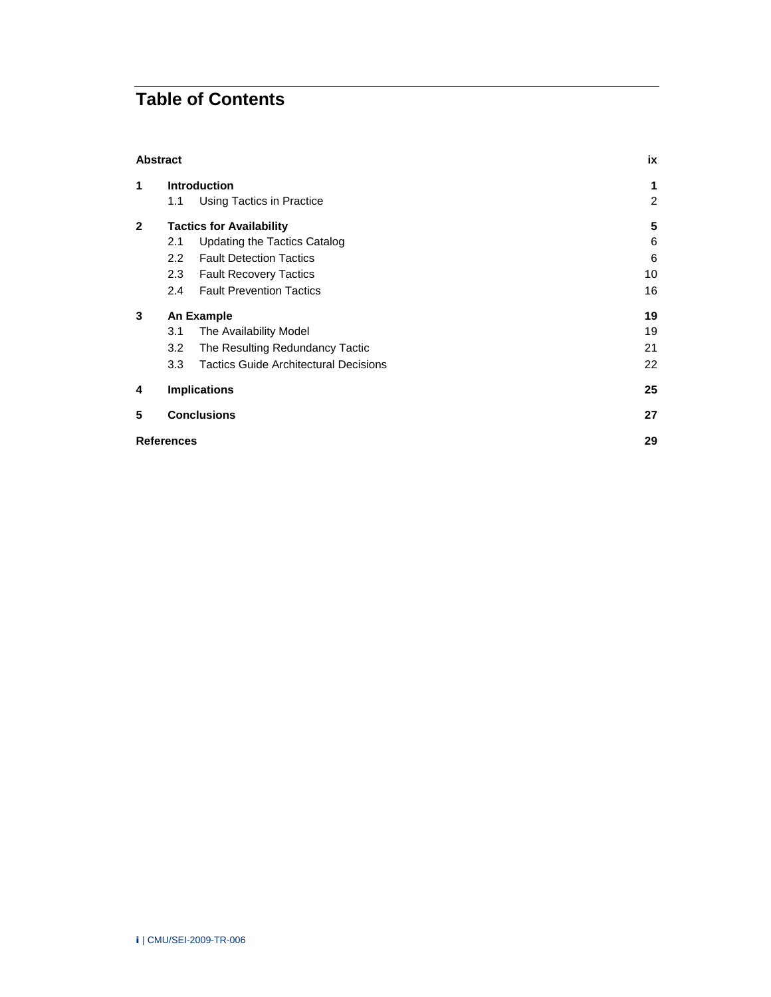## **Table of Contents**

|                | <b>Abstract</b>                 |                                              |    |
|----------------|---------------------------------|----------------------------------------------|----|
| 1              | <b>Introduction</b>             |                                              | 1  |
|                | 1.1                             | Using Tactics in Practice                    | 2  |
| $\overline{2}$ | <b>Tactics for Availability</b> |                                              | 5  |
|                | 2.1                             | Updating the Tactics Catalog                 | 6  |
|                | $2.2^{\circ}$                   | <b>Fault Detection Tactics</b>               | 6  |
|                | 2.3                             | <b>Fault Recovery Tactics</b>                | 10 |
|                | 2.4                             | <b>Fault Prevention Tactics</b>              | 16 |
| 3              | <b>An Example</b>               |                                              | 19 |
|                | 3.1                             | The Availability Model                       | 19 |
|                | 3.2                             | The Resulting Redundancy Tactic              | 21 |
|                | 3.3 <sub>2</sub>                | <b>Tactics Guide Architectural Decisions</b> | 22 |
| 4              | <b>Implications</b>             |                                              | 25 |
| 5              | <b>Conclusions</b>              |                                              | 27 |
|                | <b>References</b>               |                                              |    |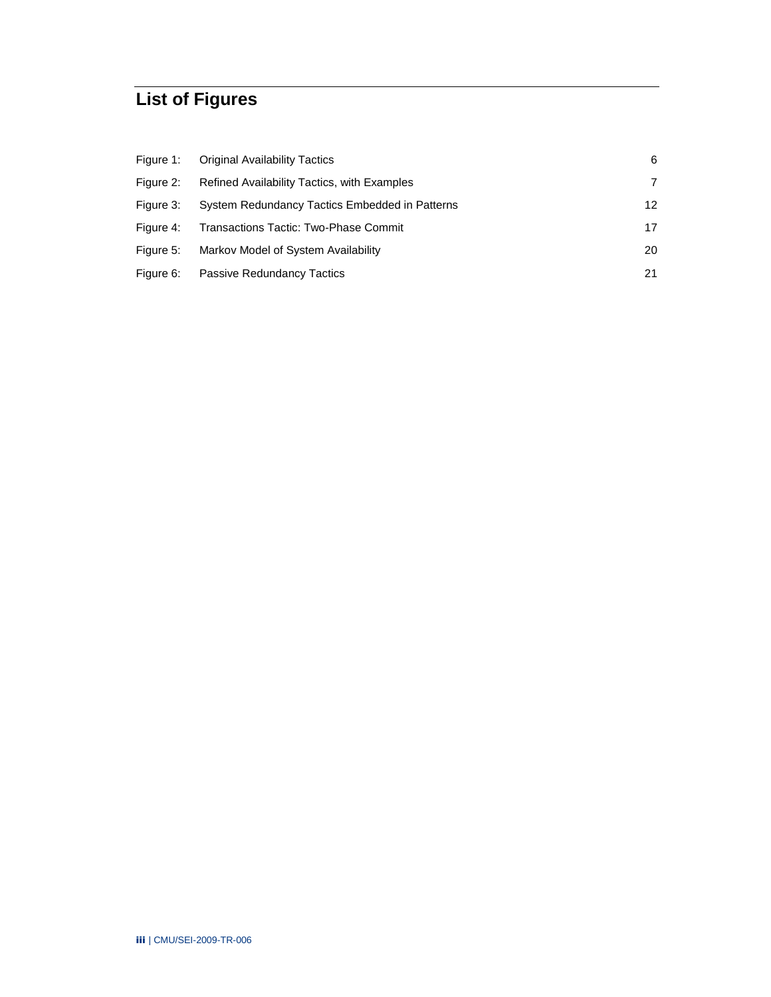## **List of Figures**

| Figure 1: | Original Availability Tactics                  | 6               |
|-----------|------------------------------------------------|-----------------|
| Figure 2: | Refined Availability Tactics, with Examples    | 7               |
| Figure 3: | System Redundancy Tactics Embedded in Patterns | 12 <sup>°</sup> |
| Figure 4: | Transactions Tactic: Two-Phase Commit          | 17              |
| Figure 5: | Markov Model of System Availability            | 20              |
|           | Figure 6: Passive Redundancy Tactics           | 21              |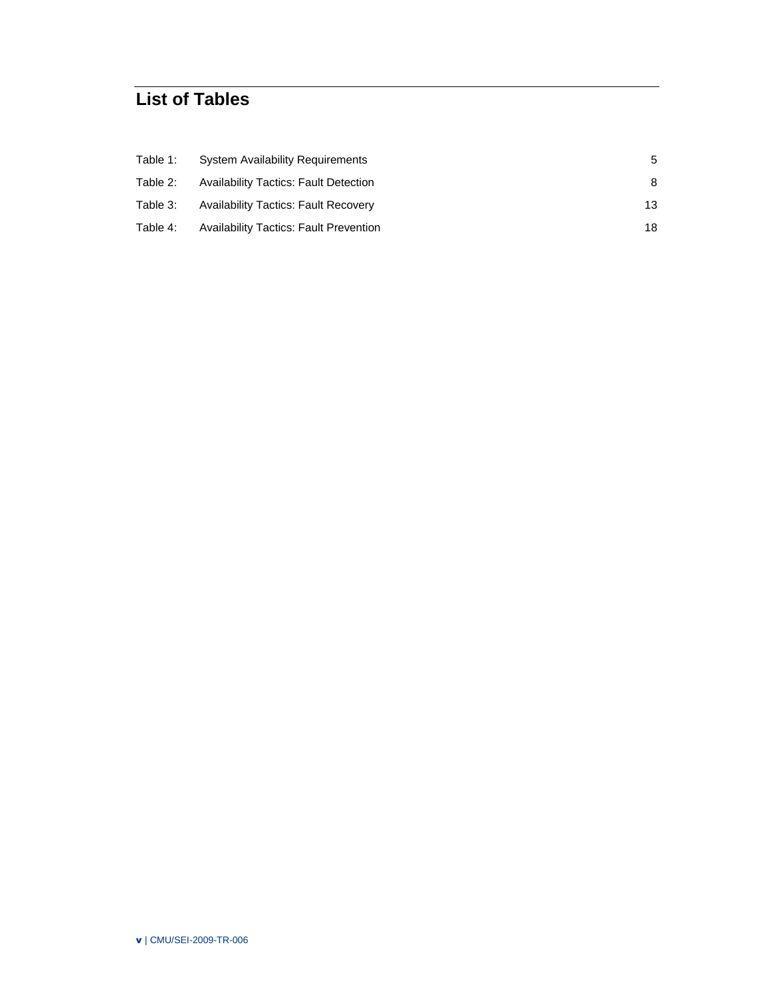## **List of Tables**

| Table 1: | System Availability Requirements              | -5 |
|----------|-----------------------------------------------|----|
| Table 2: | <b>Availability Tactics: Fault Detection</b>  | 8  |
| Table 3: | <b>Availability Tactics: Fault Recovery</b>   | 13 |
| Table 4: | <b>Availability Tactics: Fault Prevention</b> | 18 |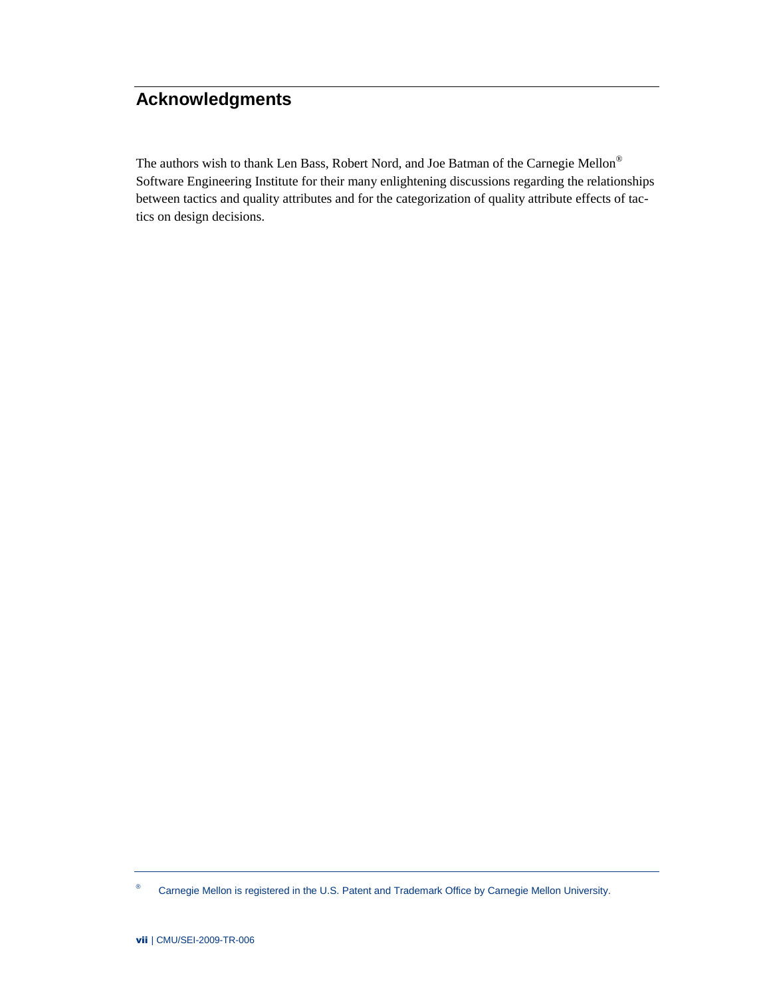## **Acknowledgments**

The authors wish to thank Len Bass, Robert Nord, and Joe Batman of the Carnegie Mellon® Software Engineering Institute for their many enlightening discussions regarding the relationships between tactics and quality attributes and for the categorization of quality attribute effects of tactics on design decisions.

® Carnegie Mellon is registered in the U.S. Patent and Trademark Office by Carnegie Mellon University.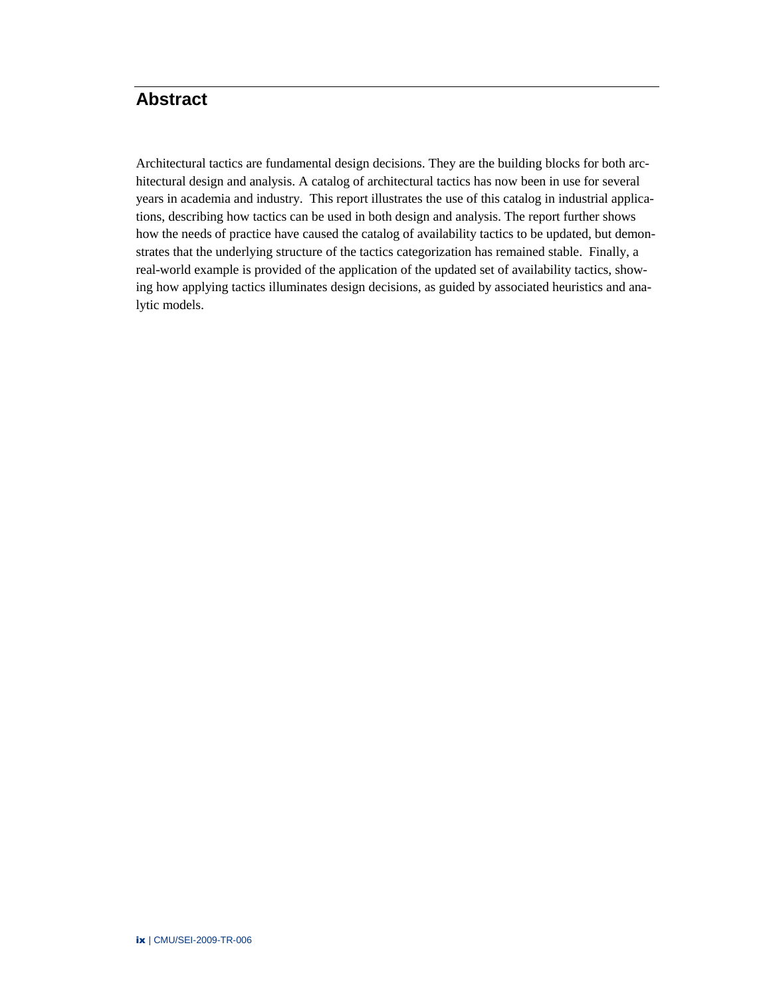### <span id="page-10-0"></span>**Abstract**

Architectural tactics are fundamental design decisions. They are the building blocks for both architectural design and analysis. A catalog of architectural tactics has now been in use for several years in academia and industry. This report illustrates the use of this catalog in industrial applications, describing how tactics can be used in both design and analysis. The report further shows how the needs of practice have caused the catalog of availability tactics to be updated, but demonstrates that the underlying structure of the tactics categorization has remained stable. Finally, a real-world example is provided of the application of the updated set of availability tactics, showing how applying tactics illuminates design decisions, as guided by associated heuristics and analytic models.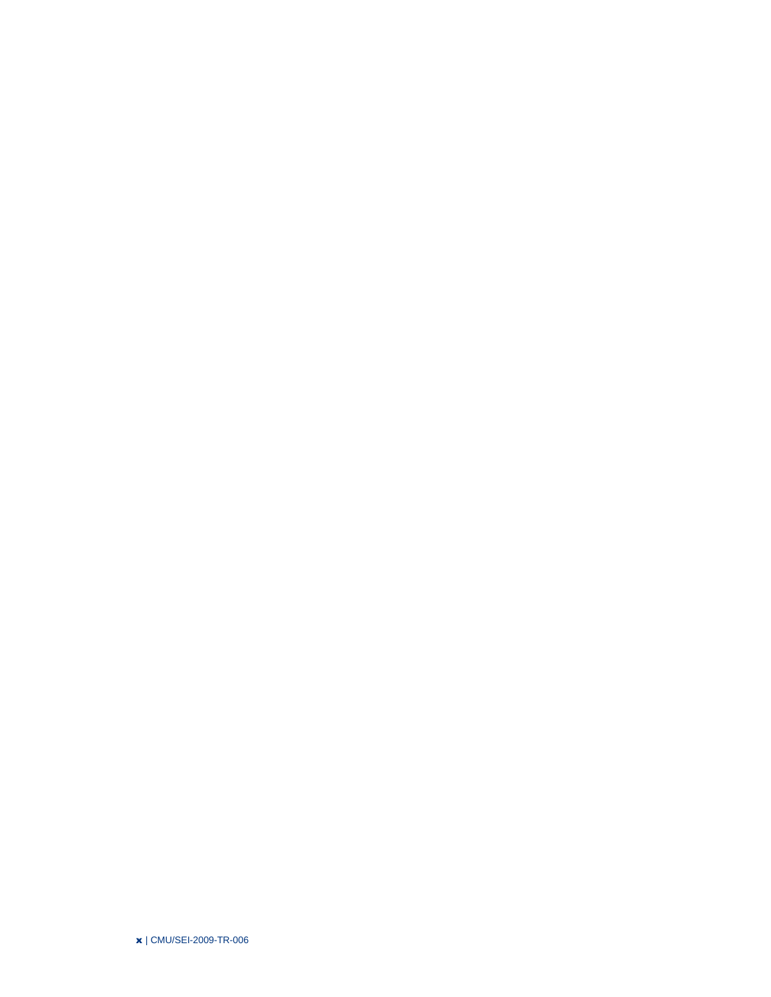x | CMU/SEI-2009-TR-006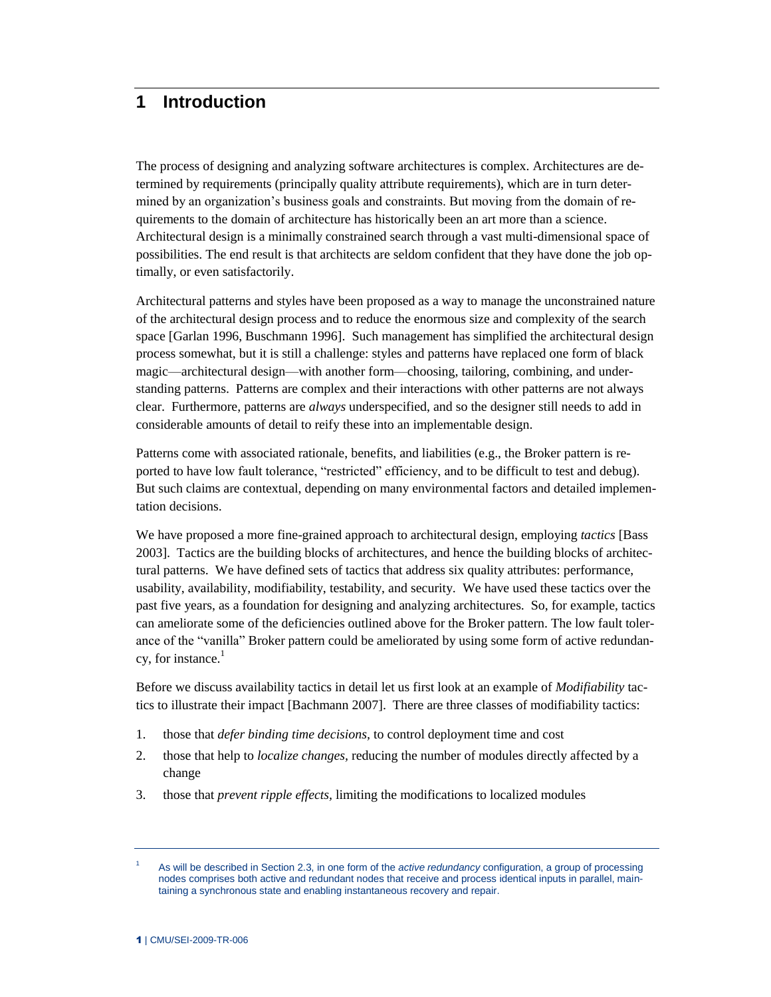### <span id="page-12-0"></span>**1 Introduction**

The process of designing and analyzing software architectures is complex. Architectures are determined by requirements (principally quality attribute requirements), which are in turn determined by an organization"s business goals and constraints. But moving from the domain of requirements to the domain of architecture has historically been an art more than a science. Architectural design is a minimally constrained search through a vast multi-dimensional space of possibilities. The end result is that architects are seldom confident that they have done the job optimally, or even satisfactorily.

Architectural patterns and styles have been proposed as a way to manage the unconstrained nature of the architectural design process and to reduce the enormous size and complexity of the search space [Garlan 1996, Buschmann 1996]. Such management has simplified the architectural design process somewhat, but it is still a challenge: styles and patterns have replaced one form of black magic—architectural design—with another form—choosing, tailoring, combining, and understanding patterns. Patterns are complex and their interactions with other patterns are not always clear. Furthermore, patterns are *always* underspecified, and so the designer still needs to add in considerable amounts of detail to reify these into an implementable design.

Patterns come with associated rationale, benefits, and liabilities (e.g., the Broker pattern is reported to have low fault tolerance, "restricted" efficiency, and to be difficult to test and debug). But such claims are contextual, depending on many environmental factors and detailed implementation decisions.

We have proposed a more fine-grained approach to architectural design, employing *tactics* [Bass 2003]. Tactics are the building blocks of architectures, and hence the building blocks of architectural patterns. We have defined sets of tactics that address six quality attributes: performance, usability, availability, modifiability, testability, and security. We have used these tactics over the past five years, as a foundation for designing and analyzing architectures. So, for example, tactics can ameliorate some of the deficiencies outlined above for the Broker pattern. The low fault tolerance of the "vanilla" Broker pattern could be ameliorated by using some form of active redundancy, for instance. $<sup>1</sup>$ </sup>

Before we discuss availability tactics in detail let us first look at an example of *Modifiability* tactics to illustrate their impact [Bachmann 2007]. There are three classes of modifiability tactics:

- 1. those that *defer binding time decisions,* to control deployment time and cost
- 2. those that help to *localize changes,* reducing the number of modules directly affected by a change
- 3. those that *prevent ripple effects,* limiting the modifications to localized modules

<sup>1</sup> As will be described in Section 2.3, in one form of the *active redundancy* configuration, a group of processing nodes comprises both active and redundant nodes that receive and process identical inputs in parallel, maintaining a synchronous state and enabling instantaneous recovery and repair.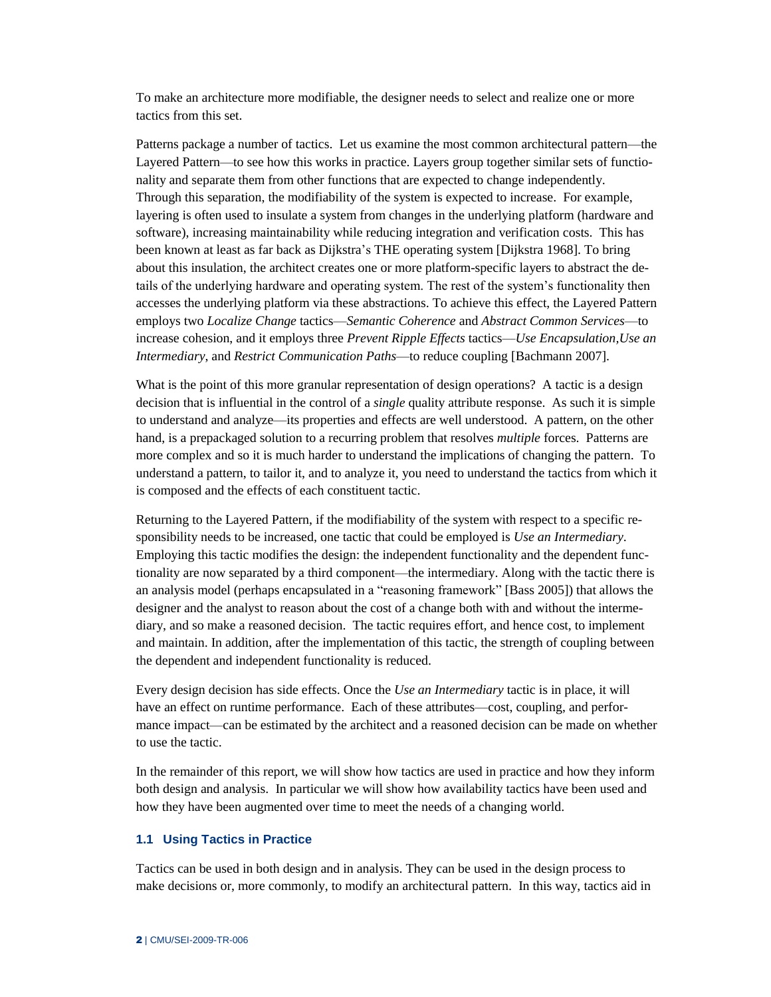To make an architecture more modifiable, the designer needs to select and realize one or more tactics from this set.

Patterns package a number of tactics. Let us examine the most common architectural pattern—the Layered Pattern—to see how this works in practice. Layers group together similar sets of functionality and separate them from other functions that are expected to change independently. Through this separation, the modifiability of the system is expected to increase. For example, layering is often used to insulate a system from changes in the underlying platform (hardware and software), increasing maintainability while reducing integration and verification costs. This has been known at least as far back as Dijkstra"s THE operating system [Dijkstra 1968]. To bring about this insulation, the architect creates one or more platform-specific layers to abstract the details of the underlying hardware and operating system. The rest of the system"s functionality then accesses the underlying platform via these abstractions. To achieve this effect, the Layered Pattern employs two *Localize Change* tactics—*Semantic Coherence* and *Abstract Common Services*—to increase cohesion, and it employs three *Prevent Ripple Effects* tactics—*Use Encapsulation,Use an Intermediary*, and *Restrict Communication Paths*—to reduce coupling [Bachmann 2007].

What is the point of this more granular representation of design operations? A tactic is a design decision that is influential in the control of a *single* quality attribute response. As such it is simple to understand and analyze—its properties and effects are well understood. A pattern, on the other hand, is a prepackaged solution to a recurring problem that resolves *multiple* forces. Patterns are more complex and so it is much harder to understand the implications of changing the pattern. To understand a pattern, to tailor it, and to analyze it, you need to understand the tactics from which it is composed and the effects of each constituent tactic.

Returning to the Layered Pattern, if the modifiability of the system with respect to a specific responsibility needs to be increased, one tactic that could be employed is *Use an Intermediary*. Employing this tactic modifies the design: the independent functionality and the dependent functionality are now separated by a third component—the intermediary. Along with the tactic there is an analysis model (perhaps encapsulated in a "reasoning framework" [Bass 2005]) that allows the designer and the analyst to reason about the cost of a change both with and without the intermediary, and so make a reasoned decision. The tactic requires effort, and hence cost, to implement and maintain. In addition, after the implementation of this tactic, the strength of coupling between the dependent and independent functionality is reduced.

Every design decision has side effects. Once the *Use an Intermediary* tactic is in place, it will have an effect on runtime performance. Each of these attributes—cost, coupling, and performance impact—can be estimated by the architect and a reasoned decision can be made on whether to use the tactic.

In the remainder of this report, we will show how tactics are used in practice and how they inform both design and analysis. In particular we will show how availability tactics have been used and how they have been augmented over time to meet the needs of a changing world.

#### <span id="page-13-0"></span>**1.1 Using Tactics in Practice**

Tactics can be used in both design and in analysis. They can be used in the design process to make decisions or, more commonly, to modify an architectural pattern. In this way, tactics aid in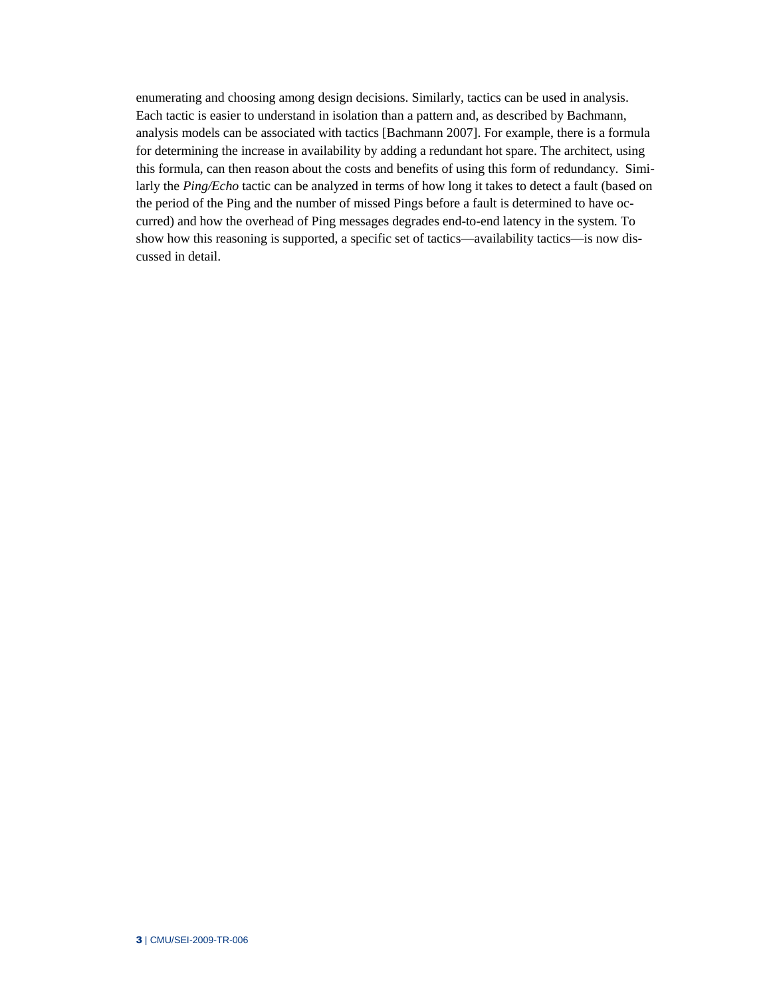enumerating and choosing among design decisions. Similarly, tactics can be used in analysis. Each tactic is easier to understand in isolation than a pattern and, as described by Bachmann, analysis models can be associated with tactics [Bachmann 2007]. For example, there is a formula for determining the increase in availability by adding a redundant hot spare. The architect, using this formula, can then reason about the costs and benefits of using this form of redundancy. Similarly the *Ping/Echo* tactic can be analyzed in terms of how long it takes to detect a fault (based on the period of the Ping and the number of missed Pings before a fault is determined to have occurred) and how the overhead of Ping messages degrades end-to-end latency in the system. To show how this reasoning is supported, a specific set of tactics—availability tactics—is now discussed in detail.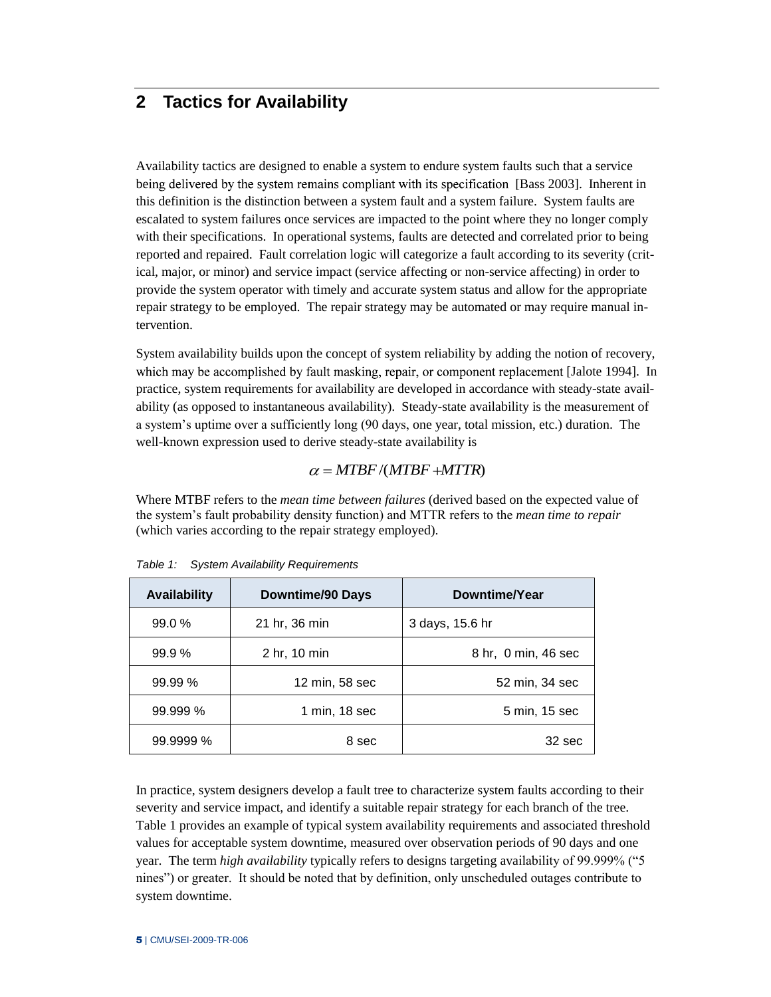## <span id="page-16-0"></span>**2 Tactics for Availability**

Availability tactics are designed to enable a system to endure system faults such that a service being delivered by the system remains compliant with its specification [Bass 2003]. Inherent in this definition is the distinction between a system fault and a system failure. System faults are escalated to system failures once services are impacted to the point where they no longer comply with their specifications. In operational systems, faults are detected and correlated prior to being reported and repaired. Fault correlation logic will categorize a fault according to its severity (critical, major, or minor) and service impact (service affecting or non-service affecting) in order to provide the system operator with timely and accurate system status and allow for the appropriate repair strategy to be employed. The repair strategy may be automated or may require manual intervention.

System availability builds upon the concept of system reliability by adding the notion of recovery, which may be accomplished by fault masking, repair, or component replacement [Jalote 1994]. In practice, system requirements for availability are developed in accordance with steady-state availability (as opposed to instantaneous availability). Steady-state availability is the measurement of a system"s uptime over a sufficiently long (90 days, one year, total mission, etc.) duration. The well-known expression used to derive steady-state availability is

#### $\alpha = MTBF/(MTBF+MTTR)$

Where MTBF refers to the *mean time between failures* (derived based on the expected value of the system"s fault probability density function) and MTTR refers to the *mean time to repair* (which varies according to the repair strategy employed).

| <b>Availability</b> | <b>Downtime/90 Days</b> | Downtime/Year       |
|---------------------|-------------------------|---------------------|
| 99.0 %              | 21 hr, 36 min           | 3 days, 15.6 hr     |
| 99.9%               | 2 hr, 10 min            | 8 hr, 0 min, 46 sec |
| 99.99%              | 12 min, 58 sec          | 52 min, 34 sec      |
| 99.999 %            | 1 min, 18 sec           | 5 min, 15 sec       |
| 99.9999 %           | 8 sec                   | 32 sec              |

<span id="page-16-1"></span>*Table 1: System Availability Requirements*

In practice, system designers develop a fault tree to characterize system faults according to their severity and service impact, and identify a suitable repair strategy for each branch of the tree. Table 1 provides an example of typical system availability requirements and associated threshold values for acceptable system downtime, measured over observation periods of 90 days and one year. The term *high availability* typically refers to designs targeting availability of 99.999% ("5 nines") or greater. It should be noted that by definition, only unscheduled outages contribute to system downtime.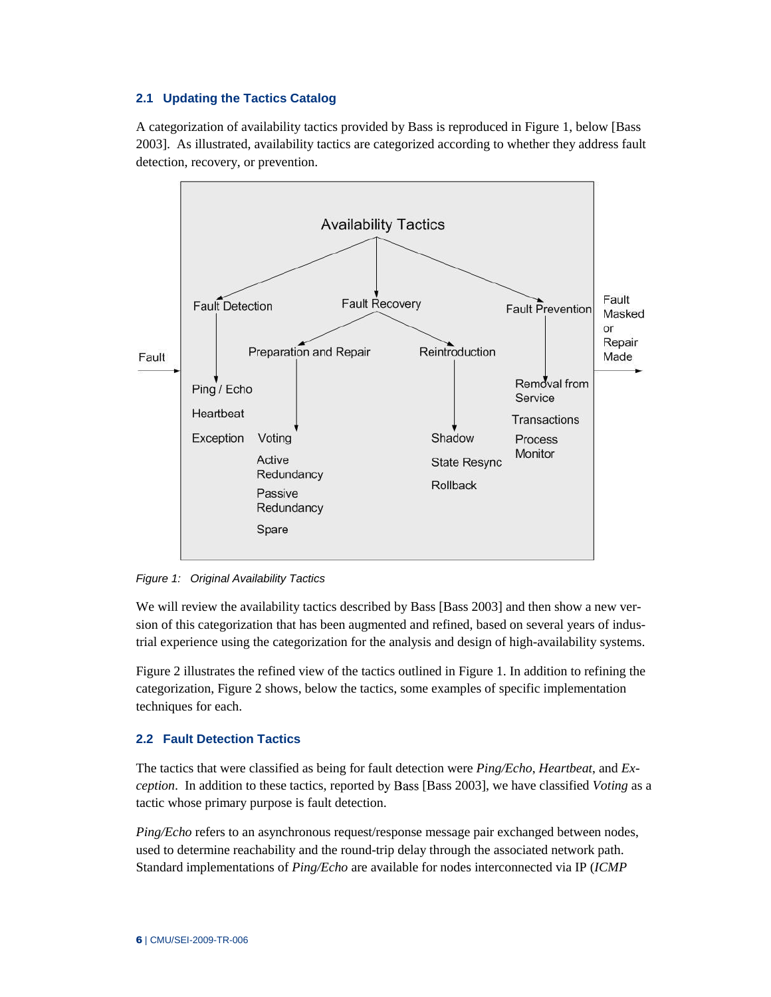#### <span id="page-17-0"></span>**2.1 Updating the Tactics Catalog**

A categorization of availability tactics provided by Bass is reproduced in [Figure](#page-17-2) 1, below [Bass 2003]. As illustrated, availability tactics are categorized according to whether they address fault detection, recovery, or prevention.



<span id="page-17-2"></span>*Figure 1: Original Availability Tactics*

We will review the availability tactics described by Bass [Bass 2003] and then show a new version of this categorization that has been augmented and refined, based on several years of industrial experience using the categorization for the analysis and design of high-availability systems.

[Figure 2](#page-18-0) illustrates the refined view of the tactics outlined in [Figure](#page-17-2) 1. In addition to refining the categorization[, Figure 2](#page-18-0) shows, below the tactics, some examples of specific implementation techniques for each.

#### <span id="page-17-1"></span>**2.2 Fault Detection Tactics**

The tactics that were classified as being for fault detection were *Ping/Echo*, *Heartbeat*, and *Exception*. In addition to these tactics, reported by Bass [Bass 2003], we have classified *Voting* as a tactic whose primary purpose is fault detection.

*[Ping/Echo](#page-17-1)* refers to an asynchronous request/response message pair exchanged between nodes, used to determine reachability and the round-trip delay through the associated network path. Standard implementations of *Ping/Echo* are available for nodes interconnected via IP (*ICMP*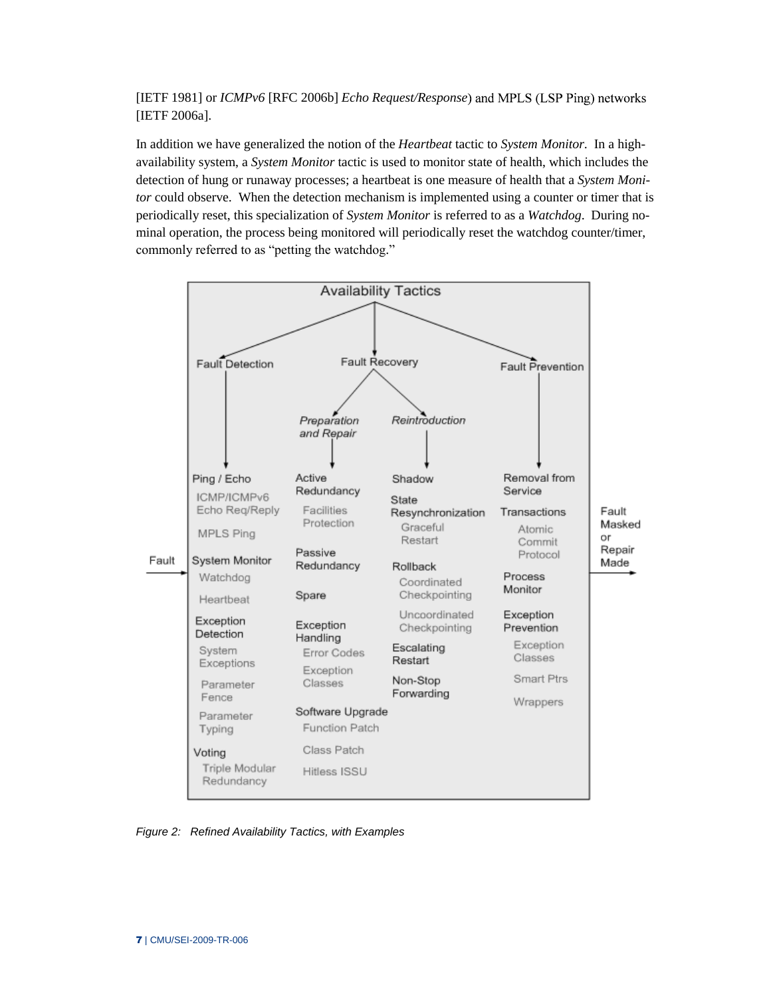[IETF 1981] or *ICMPv6* [RFC 2006b] *Echo Request/Response* [IETF 2006a].

<span id="page-18-1"></span>In addition we have generalized the notion of the *Heartbeat* tactic to *System Monitor*. In a highavailability system, a *System Monitor* tactic is used to monitor state of health, which includes the detection of hung or runaway processes; a heartbeat is one measure of health that a *System Monitor* could observe. When the detection mechanism is implemented using a counter or timer that is periodically reset, this specialization of *System Monitor* is referred to as a *Watchdog*. During nominal operation, the process being monitored will periodically reset the watchdog counter/timer, commonly referred to as "petting the watchdog."

<span id="page-18-2"></span>

<span id="page-18-0"></span>*Figure 2: Refined Availability Tactics, with Examples*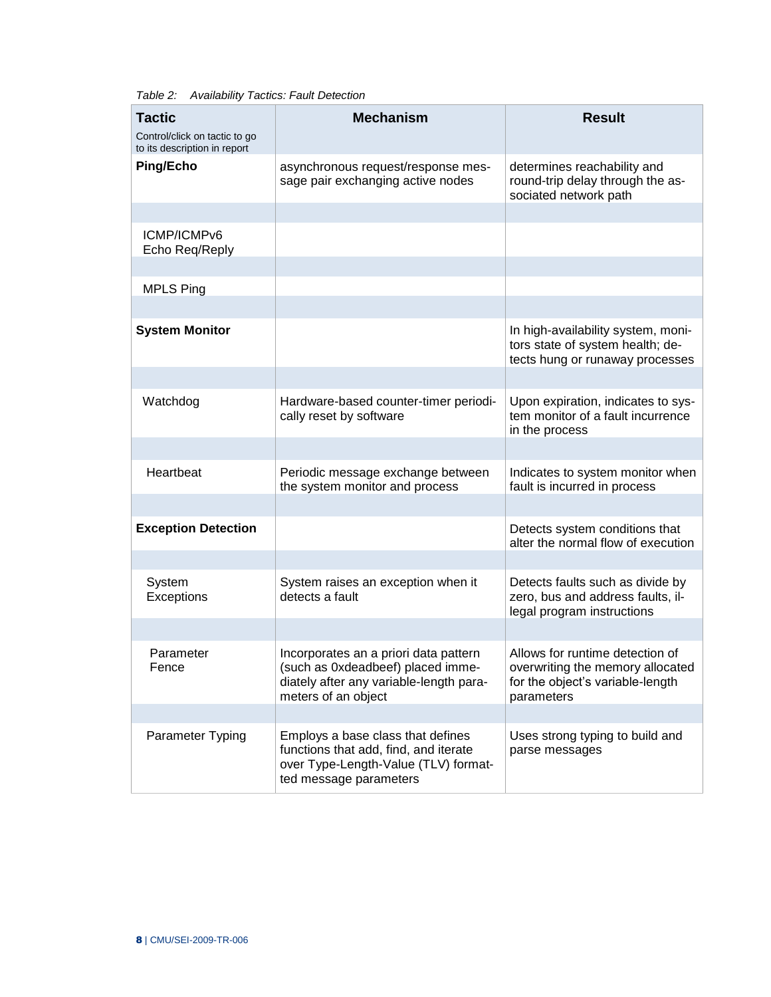<span id="page-19-0"></span>*Table 2: Availability Tactics: Fault Detection* 

| <b>Tactic</b><br>Control/click on tactic to go<br>to its description in report | <b>Mechanism</b>                                                                                                                             | <b>Result</b>                                                                                                         |
|--------------------------------------------------------------------------------|----------------------------------------------------------------------------------------------------------------------------------------------|-----------------------------------------------------------------------------------------------------------------------|
| Ping/Echo                                                                      | asynchronous request/response mes-<br>sage pair exchanging active nodes                                                                      | determines reachability and<br>round-trip delay through the as-<br>sociated network path                              |
|                                                                                |                                                                                                                                              |                                                                                                                       |
| ICMP/ICMPv6<br>Echo Req/Reply                                                  |                                                                                                                                              |                                                                                                                       |
|                                                                                |                                                                                                                                              |                                                                                                                       |
| <b>MPLS Ping</b>                                                               |                                                                                                                                              |                                                                                                                       |
| <b>System Monitor</b>                                                          |                                                                                                                                              | In high-availability system, moni-<br>tors state of system health; de-                                                |
|                                                                                |                                                                                                                                              | tects hung or runaway processes                                                                                       |
|                                                                                |                                                                                                                                              |                                                                                                                       |
| Watchdog                                                                       | Hardware-based counter-timer periodi-<br>cally reset by software                                                                             | Upon expiration, indicates to sys-<br>tem monitor of a fault incurrence<br>in the process                             |
|                                                                                |                                                                                                                                              |                                                                                                                       |
| Heartbeat                                                                      | Periodic message exchange between<br>the system monitor and process                                                                          | Indicates to system monitor when<br>fault is incurred in process                                                      |
|                                                                                |                                                                                                                                              |                                                                                                                       |
| <b>Exception Detection</b>                                                     |                                                                                                                                              | Detects system conditions that<br>alter the normal flow of execution                                                  |
|                                                                                |                                                                                                                                              |                                                                                                                       |
| System<br>Exceptions                                                           | System raises an exception when it<br>detects a fault                                                                                        | Detects faults such as divide by<br>zero, bus and address faults, il-<br>legal program instructions                   |
|                                                                                |                                                                                                                                              |                                                                                                                       |
| Parameter<br>Fence                                                             | Incorporates an a priori data pattern<br>(such as 0xdeadbeef) placed imme-<br>diately after any variable-length para-<br>meters of an object | Allows for runtime detection of<br>overwriting the memory allocated<br>for the object's variable-length<br>parameters |
|                                                                                |                                                                                                                                              |                                                                                                                       |
| Parameter Typing                                                               | Employs a base class that defines<br>functions that add, find, and iterate<br>over Type-Length-Value (TLV) format-<br>ted message parameters | Uses strong typing to build and<br>parse messages                                                                     |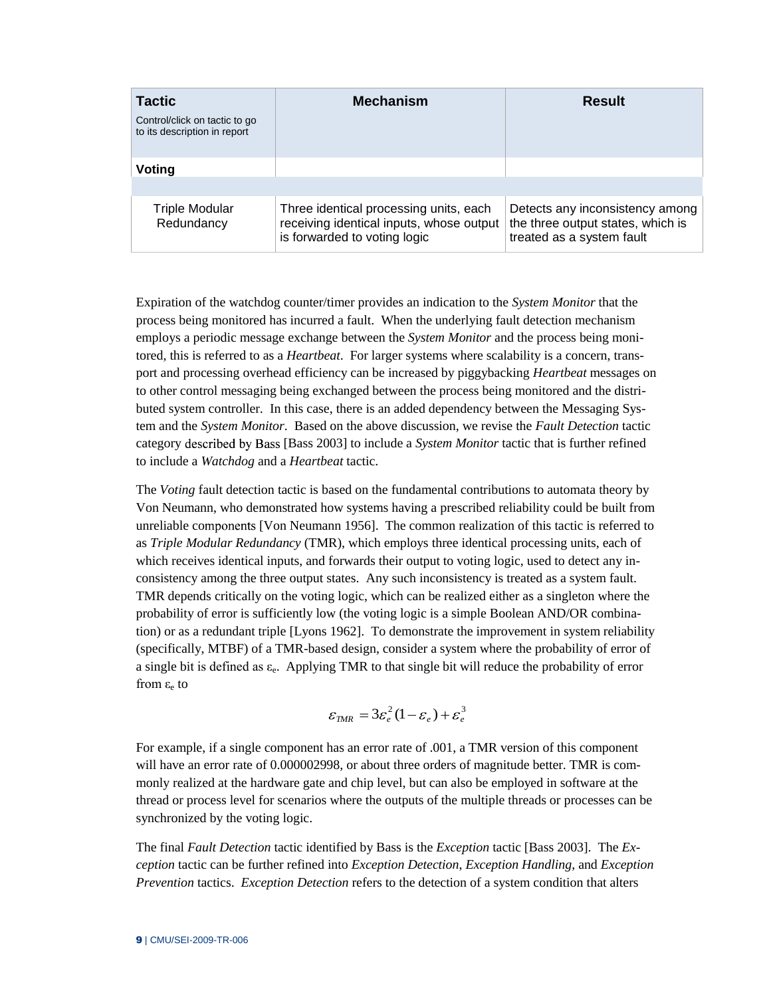| <b>Tactic</b><br>Control/click on tactic to go<br>to its description in report | <b>Mechanism</b>                                                                                                   | <b>Result</b>                                                                                     |
|--------------------------------------------------------------------------------|--------------------------------------------------------------------------------------------------------------------|---------------------------------------------------------------------------------------------------|
| Voting                                                                         |                                                                                                                    |                                                                                                   |
| <b>Triple Modular</b><br>Redundancy                                            | Three identical processing units, each<br>receiving identical inputs, whose output<br>is forwarded to voting logic | Detects any inconsistency among<br>the three output states, which is<br>treated as a system fault |

<span id="page-20-0"></span>Expiration of the watchdog counter/timer provides an indication to the *System Monitor* that the process being monitored has incurred a fault. When the underlying fault detection mechanism employs a periodic message exchange between the *System Monitor* and the process being monitored, this is referred to as a *Heartbeat*. For larger systems where scalability is a concern, transport and processing overhead efficiency can be increased by piggybacking *Heartbeat* messages on to other control messaging being exchanged between the process being monitored and the distributed system controller. In this case, there is an added dependency between the Messaging System and the *System Monitor*. Based on the above discussion, we revise the *Fault Detection* tactic category described by Bass [Bass 2003] to include a *System Monitor* tactic that is further refined to include a *Watchdog* and a *Heartbeat* tactic.

<span id="page-20-3"></span><span id="page-20-2"></span>The *Voting* fault detection tactic is based on the fundamental contributions to automata theory by Von Neumann, who demonstrated how systems having a prescribed reliability could be built from unreliable components [Von Neumann 1956]. The common realization of this tactic is referred to as *Triple Modular Redundancy* (TMR), which employs three identical processing units, each of which receives identical inputs, and forwards their output to voting logic, used to detect any inconsistency among the three output states. Any such inconsistency is treated as a system fault. TMR depends critically on the voting logic, which can be realized either as a singleton where the probability of error is sufficiently low (the voting logic is a simple Boolean AND/OR combination) or as a redundant triple [Lyons 1962]. To demonstrate the improvement in system reliability (specifically, MTBF) of a TMR-based design, consider a system where the probability of error of a single bit is defined as  $\varepsilon_e$ . Applying TMR to that single bit will reduce the probability of error from  $\varepsilon_{\rm e}$  to

<span id="page-20-1"></span>
$$
\varepsilon_{\text{TMR}} = 3\varepsilon_e^2 (1 - \varepsilon_e) + \varepsilon_e^3
$$

For example, if a single component has an error rate of .001, a TMR version of this component will have an error rate of 0.000002998, or about three orders of magnitude better. TMR is commonly realized at the hardware gate and chip level, but can also be employed in software at the thread or process level for scenarios where the outputs of the multiple threads or processes can be synchronized by the voting logic.

The final *Fault Detection* tactic identified by Bass is the *Exception* tactic [Bass 2003]. The *Exception* tactic can be further refined into *Exception Detection*, *Exception Handling*, and *Exception Prevention* tactics. *Exception Detection* refers to the detection of a system condition that alters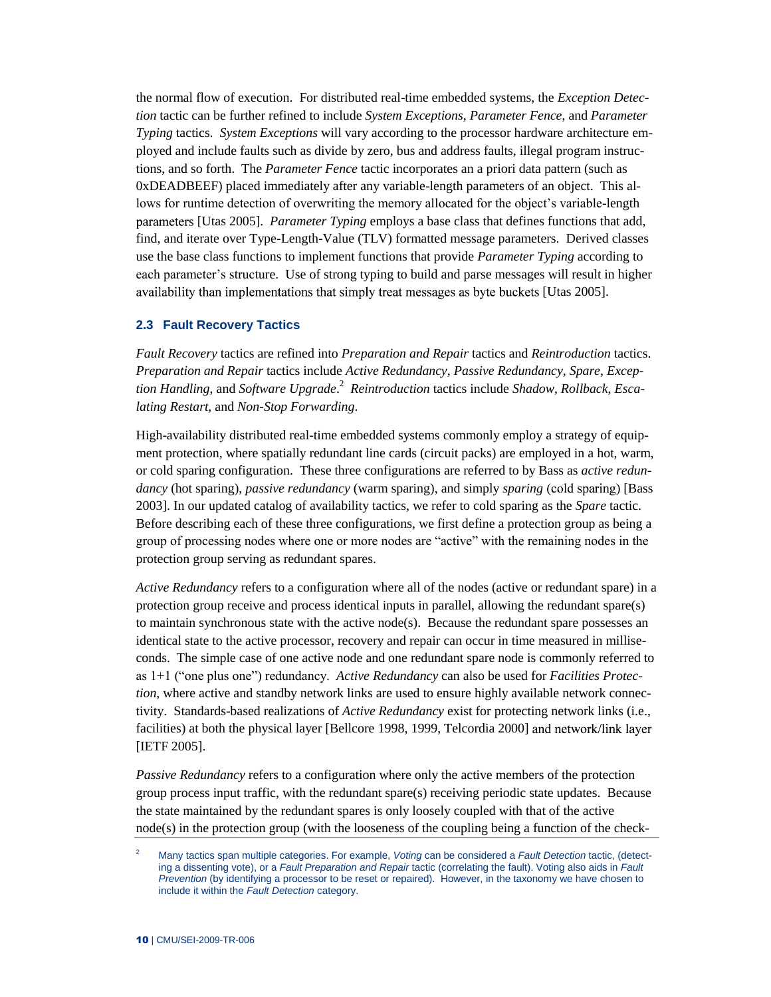<span id="page-21-2"></span><span id="page-21-1"></span>the normal flow of execution. For distributed real-time embedded systems, the *Exception Detection* tactic can be further refined to include *System Exceptions*, *Parameter Fence*, and *Parameter Typing* tactics. *System Exceptions* will vary according to the processor hardware architecture employed and include faults such as divide by zero, bus and address faults, illegal program instructions, and so forth. The *Parameter Fence* tactic incorporates an a priori data pattern (such as 0xDEADBEEF) placed immediately after any variable-length parameters of an object. This allows for runtime detection of overwriting the memory allocated for the object's variable-length parameters [Utas 2005]. *Parameter Typing* employs a base class that defines functions that add, find, and iterate over Type-Length-Value (TLV) formatted message parameters. Derived classes use the base class functions to implement functions that provide *Parameter Typing* according to each parameter"s structure. Use of strong typing to build and parse messages will result in higher availability than implementations that simply treat messages as byte buckets [Utas 2005].

#### <span id="page-21-3"></span><span id="page-21-0"></span>**2.3 Fault Recovery Tactics**

*Fault Recovery* tactics are refined into *Preparation and Repair* tactics and *Reintroduction* tactics. *Preparation and Repair* tactics include *Active Redundancy*, *Passive Redundancy*, *Spare*, *Exception Handling*, and *Software Upgrade*. 2 *Reintroduction* tactics include *Shadow*, *Rollback*, *Escalating Restart*, and *Non-Stop Forwarding*.

<span id="page-21-4"></span>High-availability distributed real-time embedded systems commonly employ a strategy of equipment protection, where spatially redundant line cards (circuit packs) are employed in a hot, warm, or cold sparing configuration. These three configurations are referred to by Bass as *active redundancy* (hot sparing), *passive redundancy* (warm sparing), and simply *sparing* [Bass 2003]. In our updated catalog of availability tactics, we refer to cold sparing as the *Spare* tactic. Before describing each of these three configurations, we first define a protection group as being a group of processing nodes where one or more nodes are "active" with the remaining nodes in the protection group serving as redundant spares.

*Active Redundancy* refers to a configuration where all of the nodes (active or redundant spare) in a protection group receive and process identical inputs in parallel, allowing the redundant spare(s) to maintain synchronous state with the active node(s). Because the redundant spare possesses an identical state to the active processor, recovery and repair can occur in time measured in milliseconds. The simple case of one active node and one redundant spare node is commonly referred to as 1+1 ("one plus one") redundancy. *Active Redundancy* can also be used for *Facilities Protection*, where active and standby network links are used to ensure highly available network connectivity. Standards-based realizations of *Active Redundancy* exist for protecting network links (i.e., facilities) at both the physical layer [Bellcore 1998, 1999, Telcordia 2000] and network/link layer [IETF 2005].

<span id="page-21-5"></span>*Passive Redundancy* refers to a configuration where only the active members of the protection group process input traffic, with the redundant spare(s) receiving periodic state updates. Because the state maintained by the redundant spares is only loosely coupled with that of the active  $node(s)$  in the protection group (with the looseness of the coupling being a function of the check-

<sup>2</sup> Many tactics span multiple categories. For example, *Voting* can be considered a *Fault Detection* tactic, (detecting a dissenting vote), or a *Fault Preparation and Repair* tactic (correlating the fault). Voting also aids in *Fault Prevention* (by identifying a processor to be reset or repaired). However, in the taxonomy we have chosen to include it within the *Fault Detection* category.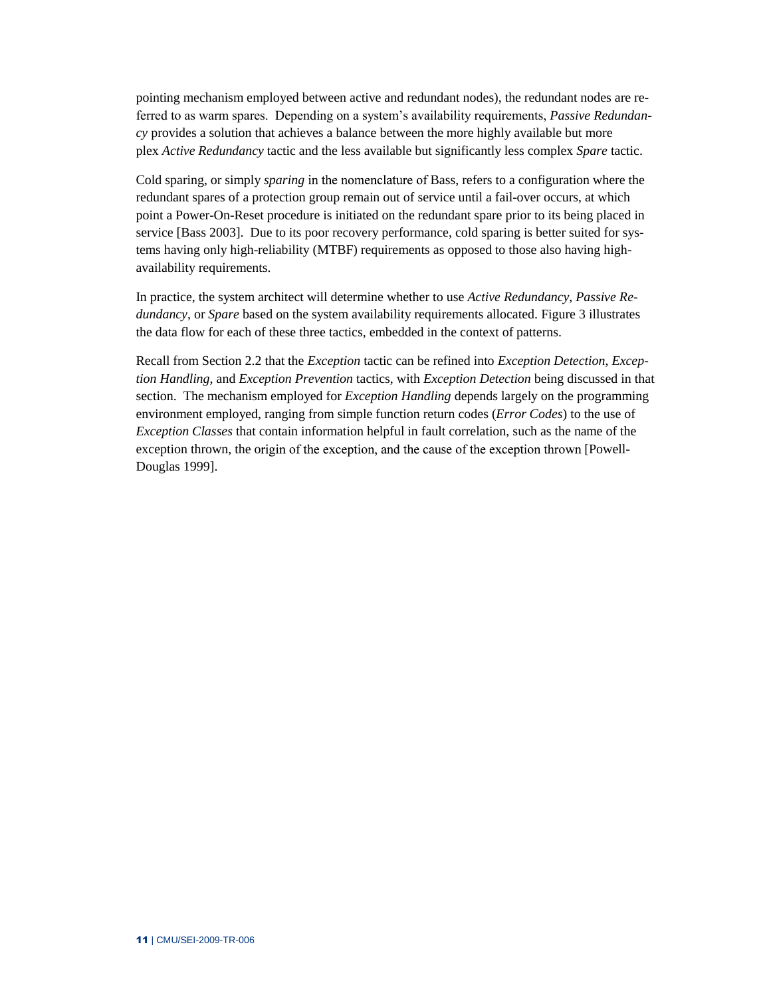pointing mechanism employed between active and redundant nodes), the redundant nodes are referred to as warm spares. Depending on a system"s availability requirements, *Passive Redundancy* provides a solution that achieves a balance between the more highly available but more plex *Active Redundancy* tactic and the less available but significantly less complex *Spare* tactic.

Cold sparing, or simply *sparing* in the nomenclature of Bass, refers to a configuration where the redundant spares of a protection group remain out of service until a fail-over occurs, at which point a Power-On-Reset procedure is initiated on the redundant spare prior to its being placed in service [Bass 2003]. Due to its poor recovery performance, cold sparing is better suited for systems having only high-reliability (MTBF) requirements as opposed to those also having highavailability requirements.

In practice, the system architect will determine whether to use *Active Redundancy*, *Passive Redundancy*, or *Spare* based on the system availability requirements allocated. [Figure](#page-23-0) 3 illustrates the data flow for each of these three tactics, embedded in the context of patterns.

<span id="page-22-0"></span>Recall from Section 2.2 that the *Exception* tactic can be refined into *Exception Detection*, *Exception Handling*, and *Exception Prevention* tactics, with *Exception Detection* being discussed in that section. The mechanism employed for *Exception Handling* depends largely on the programming environment employed, ranging from simple function return codes (*Error Codes*) to the use of *Exception Classes* that contain information helpful in fault correlation, such as the name of the exception thrown, the origin of the exception, and the cause of the exception thrown [Powell-Douglas 1999].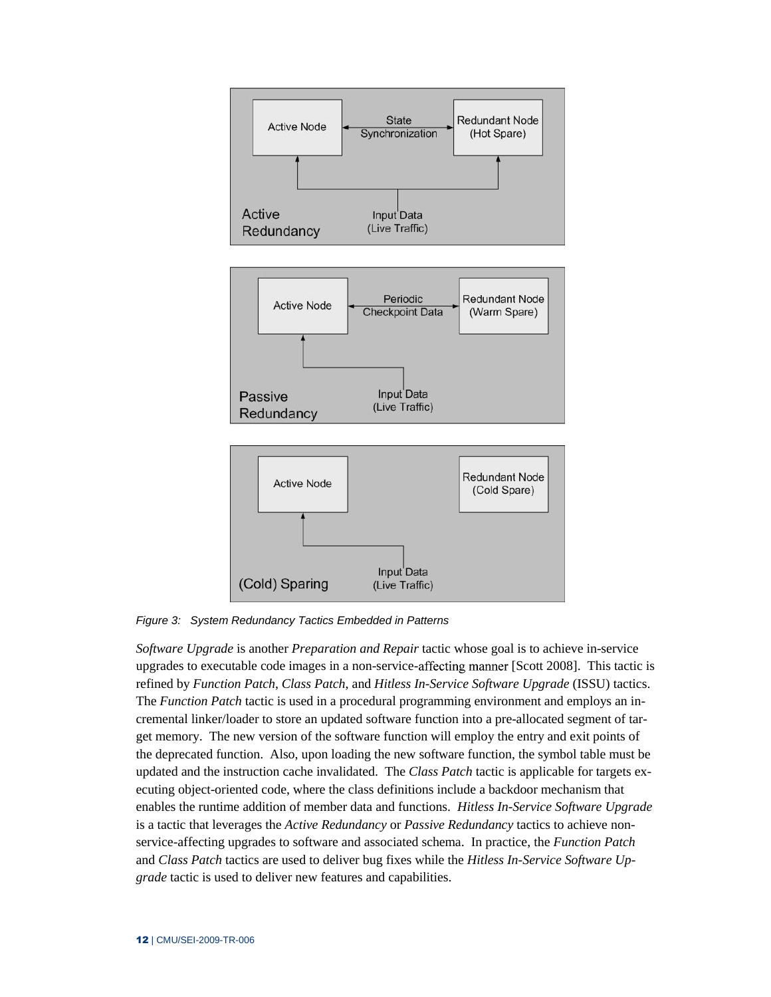

<span id="page-23-0"></span>*Figure 3: System Redundancy Tactics Embedded in Patterns*

<span id="page-23-4"></span><span id="page-23-3"></span><span id="page-23-2"></span><span id="page-23-1"></span>*Software Upgrade* is another *Preparation and Repair* tactic whose goal is to achieve in-service upgrades to executable code images in a non-service-affecting manner [Scott 2008]. This tactic is refined by *Function Patch*, *Class Patch*, and *Hitless In-Service Software Upgrade* (ISSU) tactics. The *Function Patch* tactic is used in a procedural programming environment and employs an incremental linker/loader to store an updated software function into a pre-allocated segment of target memory. The new version of the software function will employ the entry and exit points of the deprecated function. Also, upon loading the new software function, the symbol table must be updated and the instruction cache invalidated. The *Class Patch* tactic is applicable for targets executing object-oriented code, where the class definitions include a backdoor mechanism that enables the runtime addition of member data and functions. *Hitless In-Service Software Upgrade* is a tactic that leverages the *Active Redundancy* or *Passive Redundancy* tactics to achieve nonservice-affecting upgrades to software and associated schema. In practice, the *Function Patch* and *Class Patch* tactics are used to deliver bug fixes while the *Hitless In-Service Software Upgrade* tactic is used to deliver new features and capabilities.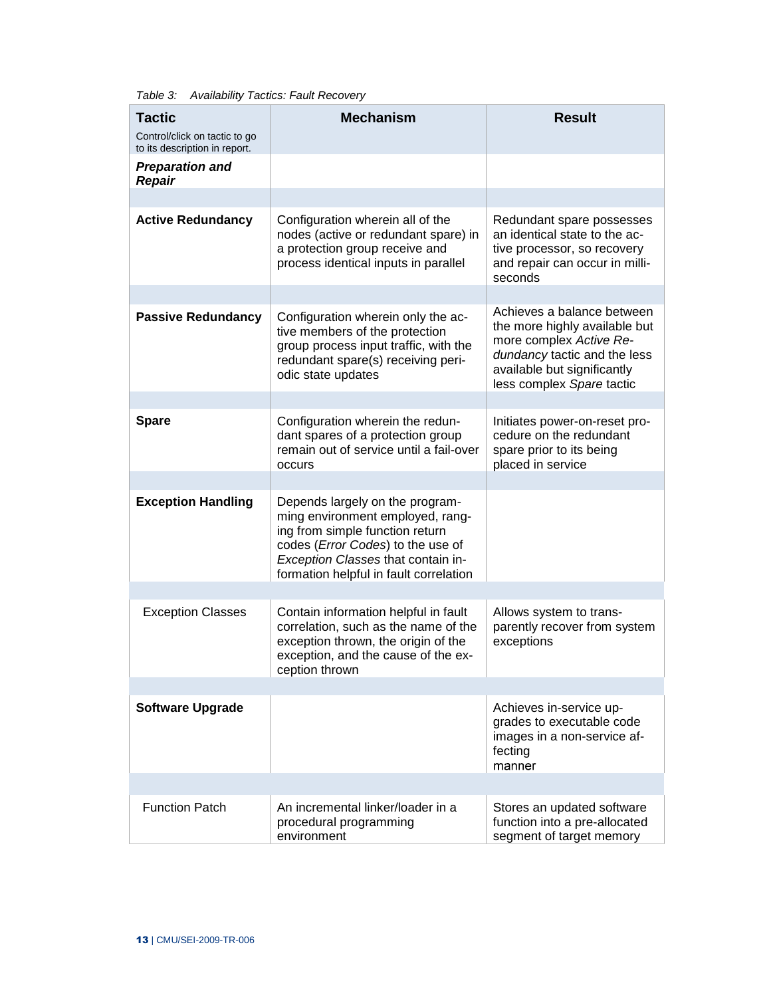<span id="page-24-0"></span>

| <b>Tactic</b><br>Control/click on tactic to go          | <b>Mechanism</b>                                                                                                                                                                                                            | <b>Result</b>                                                                                                                                                                      |
|---------------------------------------------------------|-----------------------------------------------------------------------------------------------------------------------------------------------------------------------------------------------------------------------------|------------------------------------------------------------------------------------------------------------------------------------------------------------------------------------|
| to its description in report.<br><b>Preparation and</b> |                                                                                                                                                                                                                             |                                                                                                                                                                                    |
| Repair                                                  |                                                                                                                                                                                                                             |                                                                                                                                                                                    |
| <b>Active Redundancy</b>                                | Configuration wherein all of the<br>nodes (active or redundant spare) in<br>a protection group receive and<br>process identical inputs in parallel                                                                          | Redundant spare possesses<br>an identical state to the ac-<br>tive processor, so recovery<br>and repair can occur in milli-<br>seconds                                             |
|                                                         |                                                                                                                                                                                                                             |                                                                                                                                                                                    |
| <b>Passive Redundancy</b>                               | Configuration wherein only the ac-<br>tive members of the protection<br>group process input traffic, with the<br>redundant spare(s) receiving peri-<br>odic state updates                                                   | Achieves a balance between<br>the more highly available but<br>more complex Active Re-<br>dundancy tactic and the less<br>available but significantly<br>less complex Spare tactic |
|                                                         |                                                                                                                                                                                                                             |                                                                                                                                                                                    |
| <b>Spare</b>                                            | Configuration wherein the redun-<br>dant spares of a protection group<br>remain out of service until a fail-over<br>occurs                                                                                                  | Initiates power-on-reset pro-<br>cedure on the redundant<br>spare prior to its being<br>placed in service                                                                          |
|                                                         |                                                                                                                                                                                                                             |                                                                                                                                                                                    |
| <b>Exception Handling</b>                               | Depends largely on the program-<br>ming environment employed, rang-<br>ing from simple function return<br>codes (Error Codes) to the use of<br>Exception Classes that contain in-<br>formation helpful in fault correlation |                                                                                                                                                                                    |
|                                                         |                                                                                                                                                                                                                             |                                                                                                                                                                                    |
| <b>Exception Classes</b>                                | Contain information helpful in fault<br>correlation, such as the name of the<br>exception thrown, the origin of the<br>exception, and the cause of the ex-<br>ception thrown                                                | Allows system to trans-<br>parently recover from system<br>exceptions                                                                                                              |
|                                                         |                                                                                                                                                                                                                             |                                                                                                                                                                                    |
| <b>Software Upgrade</b>                                 |                                                                                                                                                                                                                             | Achieves in-service up-<br>grades to executable code<br>images in a non-service af-<br>fecting<br>manner                                                                           |
|                                                         |                                                                                                                                                                                                                             |                                                                                                                                                                                    |
| <b>Function Patch</b>                                   | An incremental linker/loader in a<br>procedural programming<br>environment                                                                                                                                                  | Stores an updated software<br>function into a pre-allocated<br>segment of target memory                                                                                            |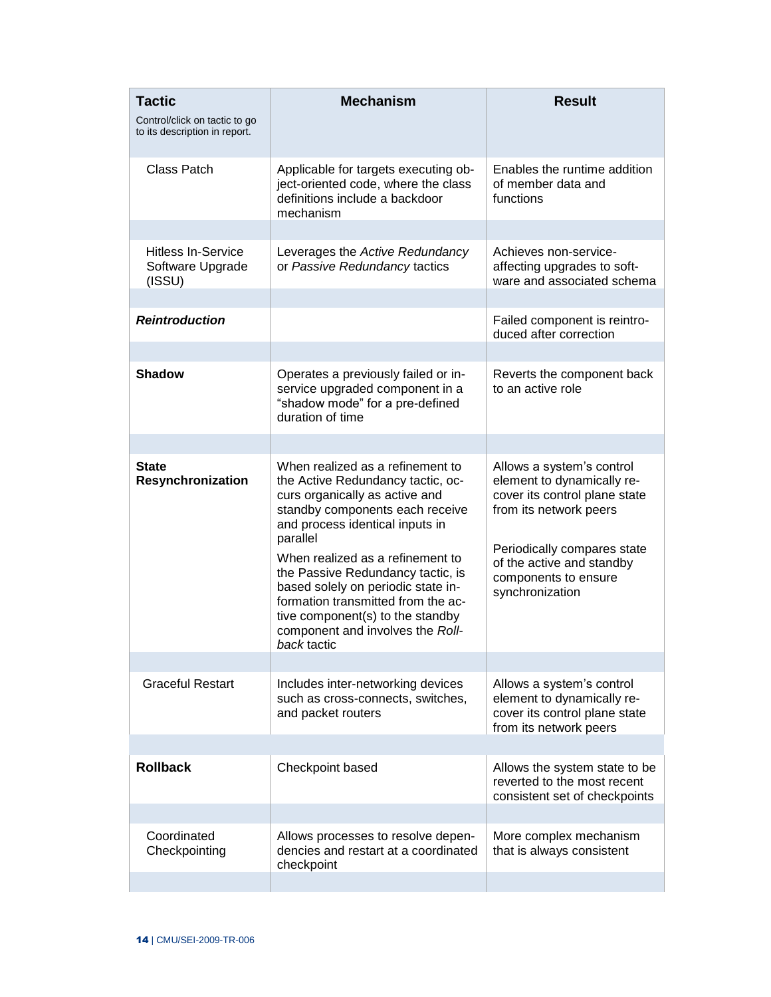| <b>Tactic</b>                                                  | <b>Mechanism</b>                                                                                                                                                                                                                                                                                                                                                                   | <b>Result</b>                                                                                                                                                                                                             |
|----------------------------------------------------------------|------------------------------------------------------------------------------------------------------------------------------------------------------------------------------------------------------------------------------------------------------------------------------------------------------------------------------------------------------------------------------------|---------------------------------------------------------------------------------------------------------------------------------------------------------------------------------------------------------------------------|
| Control/click on tactic to go<br>to its description in report. |                                                                                                                                                                                                                                                                                                                                                                                    |                                                                                                                                                                                                                           |
| Class Patch                                                    | Applicable for targets executing ob-<br>ject-oriented code, where the class<br>definitions include a backdoor<br>mechanism                                                                                                                                                                                                                                                         | Enables the runtime addition<br>of member data and<br>functions                                                                                                                                                           |
|                                                                |                                                                                                                                                                                                                                                                                                                                                                                    |                                                                                                                                                                                                                           |
| Hitless In-Service<br>Software Upgrade<br>(ISSU)               | Leverages the Active Redundancy<br>or Passive Redundancy tactics                                                                                                                                                                                                                                                                                                                   | Achieves non-service-<br>affecting upgrades to soft-<br>ware and associated schema                                                                                                                                        |
|                                                                |                                                                                                                                                                                                                                                                                                                                                                                    |                                                                                                                                                                                                                           |
| <b>Reintroduction</b>                                          |                                                                                                                                                                                                                                                                                                                                                                                    | Failed component is reintro-<br>duced after correction                                                                                                                                                                    |
|                                                                |                                                                                                                                                                                                                                                                                                                                                                                    |                                                                                                                                                                                                                           |
| <b>Shadow</b>                                                  | Operates a previously failed or in-<br>service upgraded component in a<br>"shadow mode" for a pre-defined<br>duration of time                                                                                                                                                                                                                                                      | Reverts the component back<br>to an active role                                                                                                                                                                           |
|                                                                |                                                                                                                                                                                                                                                                                                                                                                                    |                                                                                                                                                                                                                           |
| <b>State</b><br>Resynchronization                              | When realized as a refinement to<br>the Active Redundancy tactic, oc-<br>curs organically as active and<br>standby components each receive<br>and process identical inputs in<br>parallel<br>When realized as a refinement to<br>the Passive Redundancy tactic, is<br>based solely on periodic state in-<br>formation transmitted from the ac-<br>tive component(s) to the standby | Allows a system's control<br>element to dynamically re-<br>cover its control plane state<br>from its network peers<br>Periodically compares state<br>of the active and standby<br>components to ensure<br>synchronization |
|                                                                | component and involves the Roll-                                                                                                                                                                                                                                                                                                                                                   |                                                                                                                                                                                                                           |
|                                                                | back tactic                                                                                                                                                                                                                                                                                                                                                                        |                                                                                                                                                                                                                           |
|                                                                |                                                                                                                                                                                                                                                                                                                                                                                    |                                                                                                                                                                                                                           |
| <b>Graceful Restart</b>                                        | Includes inter-networking devices<br>such as cross-connects, switches,<br>and packet routers                                                                                                                                                                                                                                                                                       | Allows a system's control<br>element to dynamically re-<br>cover its control plane state<br>from its network peers                                                                                                        |
|                                                                |                                                                                                                                                                                                                                                                                                                                                                                    |                                                                                                                                                                                                                           |
| <b>Rollback</b>                                                | Checkpoint based                                                                                                                                                                                                                                                                                                                                                                   | Allows the system state to be<br>reverted to the most recent<br>consistent set of checkpoints                                                                                                                             |
|                                                                |                                                                                                                                                                                                                                                                                                                                                                                    |                                                                                                                                                                                                                           |
| Coordinated<br>Checkpointing                                   | Allows processes to resolve depen-<br>dencies and restart at a coordinated<br>checkpoint                                                                                                                                                                                                                                                                                           | More complex mechanism<br>that is always consistent                                                                                                                                                                       |
|                                                                |                                                                                                                                                                                                                                                                                                                                                                                    |                                                                                                                                                                                                                           |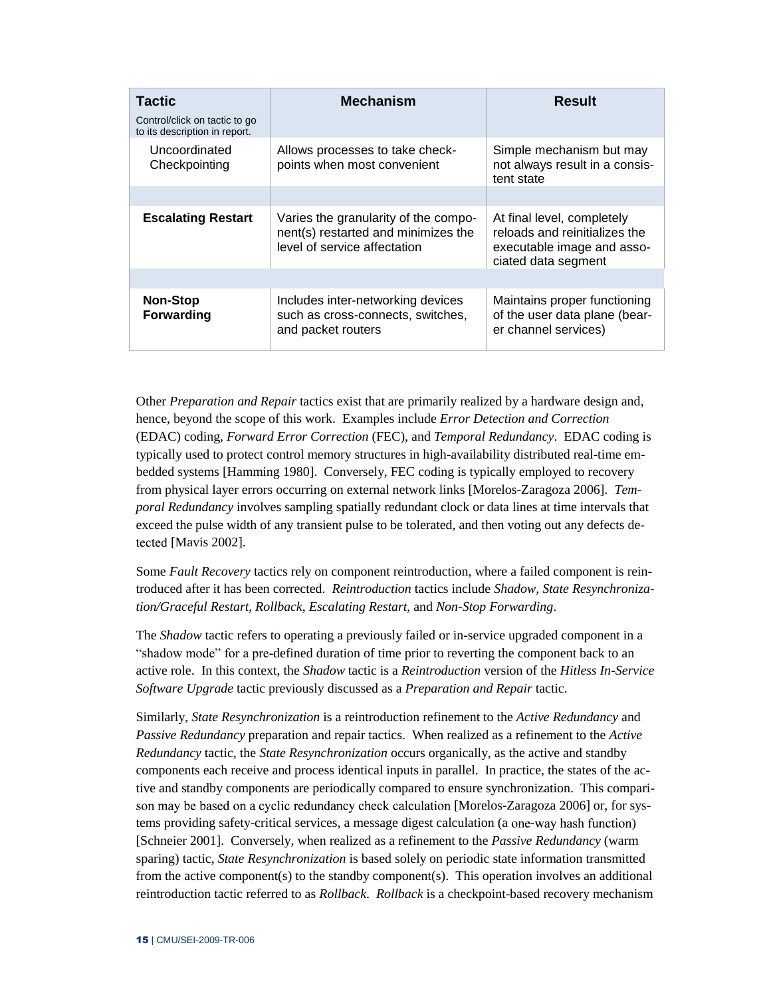| <b>Tactic</b><br>Control/click on tactic to go<br>to its description in report. | <b>Mechanism</b>                                                                                            | <b>Result</b>                                                                                                    |
|---------------------------------------------------------------------------------|-------------------------------------------------------------------------------------------------------------|------------------------------------------------------------------------------------------------------------------|
| Uncoordinated<br>Checkpointing                                                  | Allows processes to take check-<br>points when most convenient                                              | Simple mechanism but may<br>not always result in a consis-<br>tent state                                         |
|                                                                                 |                                                                                                             |                                                                                                                  |
| <b>Escalating Restart</b>                                                       | Varies the granularity of the compo-<br>nent(s) restarted and minimizes the<br>level of service affectation | At final level, completely<br>reloads and reinitializes the<br>executable image and asso-<br>ciated data segment |
|                                                                                 |                                                                                                             |                                                                                                                  |
| <b>Non-Stop</b><br><b>Forwarding</b>                                            | Includes inter-networking devices<br>such as cross-connects, switches,<br>and packet routers                | Maintains proper functioning<br>of the user data plane (bear-<br>er channel services)                            |

Other *Preparation and Repair* tactics exist that are primarily realized by a hardware design and, hence, beyond the scope of this work. Examples include *Error Detection and Correction* (EDAC) coding, *Forward Error Correction* (FEC), and *Temporal Redundancy*. EDAC coding is typically used to protect control memory structures in high-availability distributed real-time embedded systems [Hamming 1980]. Conversely, FEC coding is typically employed to recovery from physical layer errors occurring on external network links [Morelos-Zaragoza 2006]. *Temporal Redundancy* involves sampling spatially redundant clock or data lines at time intervals that exceed the pulse width of any transient pulse to be tolerated, and then voting out any defects de tected [Mavis 2002].

<span id="page-26-0"></span>Some *Fault Recovery* tactics rely on component reintroduction, where a failed component is reintroduced after it has been corrected. *Reintroduction* tactics include *Shadow*, *State Resynchronization/Graceful Restart*, *Rollback*, *Escalating Restart*, and *Non-Stop Forwarding*.

<span id="page-26-1"></span>The *Shadow* tactic refers to operating a previously failed or in-service upgraded component in a "shadow mode" for a pre-defined duration of time prior to reverting the component back to an active role. In this context, the *Shadow* tactic is a *Reintroduction* version of the *Hitless In-Service Software Upgrade* tactic previously discussed as a *Preparation and Repair* tactic.

<span id="page-26-3"></span><span id="page-26-2"></span>Similarly, *State Resynchronization* is a reintroduction refinement to the *Active Redundancy* and *Passive Redundancy* preparation and repair tactics. When realized as a refinement to the *Active Redundancy* tactic, the *State Resynchronization* occurs organically, as the active and standby components each receive and process identical inputs in parallel. In practice, the states of the active and standby components are periodically compared to ensure synchronization. This compari son may be based on a cyclic redundancy check calculation [Morelos-Zaragoza 2006] or, for systems providing safety-critical services, a message digest calculation (a one-way hash function) [Schneier 2001]. Conversely, when realized as a refinement to the *Passive Redundancy* (warm sparing) tactic, *State Resynchronization* is based solely on periodic state information transmitted from the active component(s) to the standby component(s). This operation involves an additional reintroduction tactic referred to as *Rollback*. *Rollback* is a checkpoint-based recovery mechanism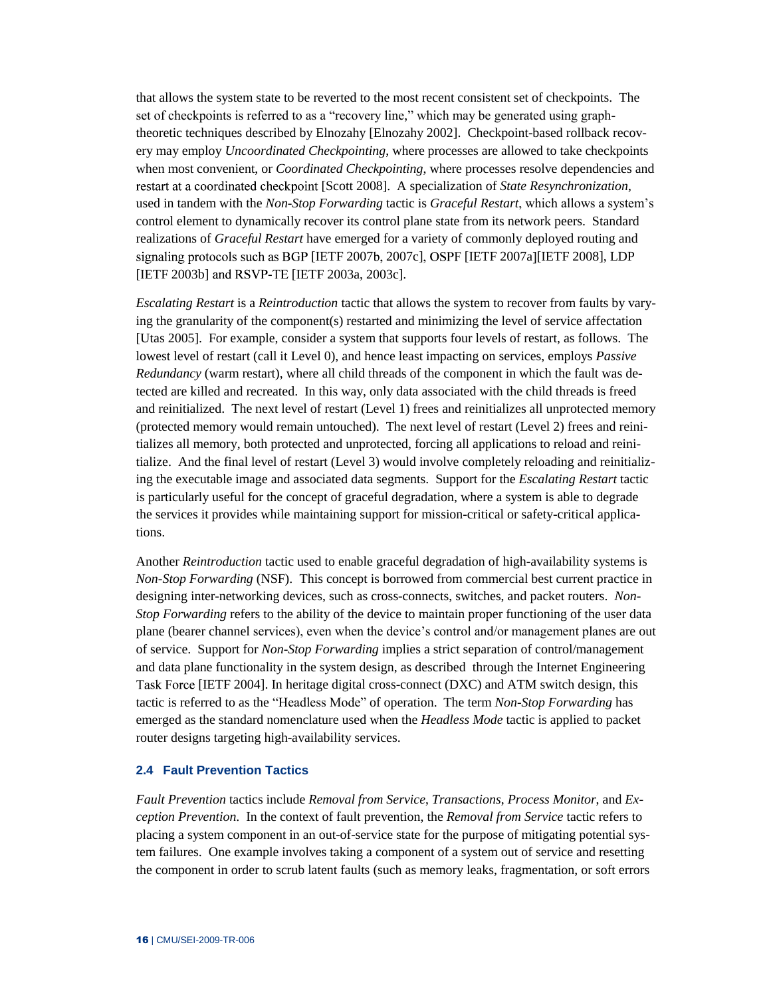<span id="page-27-2"></span><span id="page-27-1"></span>that allows the system state to be reverted to the most recent consistent set of checkpoints. The set of checkpoints is referred to as a "recovery line," which may be generated using graphtheoretic techniques described by Elnozahy [Elnozahy 2002]. Checkpoint-based rollback recovery may employ *Uncoordinated Checkpointing*, where processes are allowed to take checkpoints when most convenient, or *Coordinated Checkpointing*, where processes resolve dependencies and restart at a coordinated checkpoint [Scott 2008]. A specialization of *State Resynchronization*, used in tandem with the *Non-Stop Forwarding* tactic is *Graceful Restart*, which allows a system"s control element to dynamically recover its control plane state from its network peers. Standard realizations of *Graceful Restart* have emerged for a variety of commonly deployed routing and signaling protocols such as BGP [IETF 2007b, 2007c], OSPF [IETF 2007a][IETF 2008], LDP [IETF 2003b] and RSVP-TE [IETF 2003a, 2003c].

<span id="page-27-3"></span>*Escalating Restart* is a *Reintroduction* tactic that allows the system to recover from faults by varying the granularity of the component(s) restarted and minimizing the level of service affectation [Utas 2005]. For example, consider a system that supports four levels of restart, as follows. The lowest level of restart (call it Level 0), and hence least impacting on services, employs *Passive Redundancy* (warm restart), where all child threads of the component in which the fault was detected are killed and recreated. In this way, only data associated with the child threads is freed and reinitialized. The next level of restart (Level 1) frees and reinitializes all unprotected memory (protected memory would remain untouched). The next level of restart (Level 2) frees and reinitializes all memory, both protected and unprotected, forcing all applications to reload and reinitialize. And the final level of restart (Level 3) would involve completely reloading and reinitializing the executable image and associated data segments. Support for the *Escalating Restart* tactic is particularly useful for the concept of graceful degradation, where a system is able to degrade the services it provides while maintaining support for mission-critical or safety-critical applications.

<span id="page-27-4"></span>Another *Reintroduction* tactic used to enable graceful degradation of high-availability systems is *Non-Stop Forwarding* (NSF). This concept is borrowed from commercial best current practice in designing inter-networking devices, such as cross-connects, switches, and packet routers. *Non-Stop Forwarding* refers to the ability of the device to maintain proper functioning of the user data plane (bearer channel services), even when the device"s control and/or management planes are out of service. Support for *Non-Stop Forwarding* implies a strict separation of control/management and data plane functionality in the system design, as described through the Internet Engineering Task Force [IETF 2004]. In heritage digital cross-connect (DXC) and ATM switch design, this tactic is referred to as the "Headless Mode" of operation. The term *Non-Stop Forwarding* has emerged as the standard nomenclature used when the *Headless Mode* tactic is applied to packet router designs targeting high-availability services.

#### <span id="page-27-0"></span>**2.4 Fault Prevention Tactics**

<span id="page-27-5"></span>*Fault Prevention* tactics include *Removal from Service*, *Transactions*, *Process Monitor*, and *Exception Prevention*. In the context of fault prevention, the *Removal from Service* tactic refers to placing a system component in an out-of-service state for the purpose of mitigating potential system failures. One example involves taking a component of a system out of service and resetting the component in order to scrub latent faults (such as memory leaks, fragmentation, or soft errors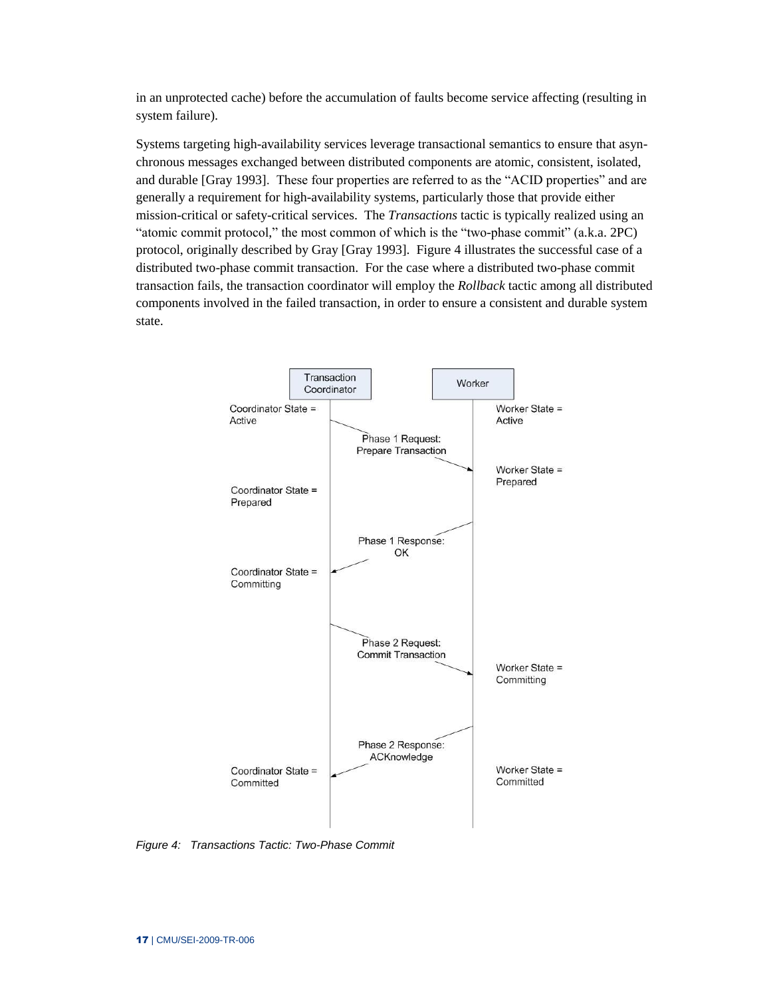in an unprotected cache) before the accumulation of faults become service affecting (resulting in system failure).

Systems targeting high-availability services leverage transactional semantics to ensure that asynchronous messages exchanged between distributed components are atomic, consistent, isolated, and durable [Gray 1993]. These four properties are referred to as the "ACID properties" and are generally a requirement for high-availability systems, particularly those that provide either mission-critical or safety-critical services. The *Transactions* tactic is typically realized using an "atomic commit protocol," the most common of which is the "two-phase commit" (a.k.a. 2PC) protocol, originally described by Gray [Gray 1993]. [Figure 4](#page-28-0) illustrates the successful case of a distributed two-phase commit transaction. For the case where a distributed two-phase commit transaction fails, the transaction coordinator will employ the *Rollback* tactic among all distributed components involved in the failed transaction, in order to ensure a consistent and durable system state.

<span id="page-28-1"></span>

<span id="page-28-0"></span>*Figure 4: Transactions Tactic: Two-Phase Commit*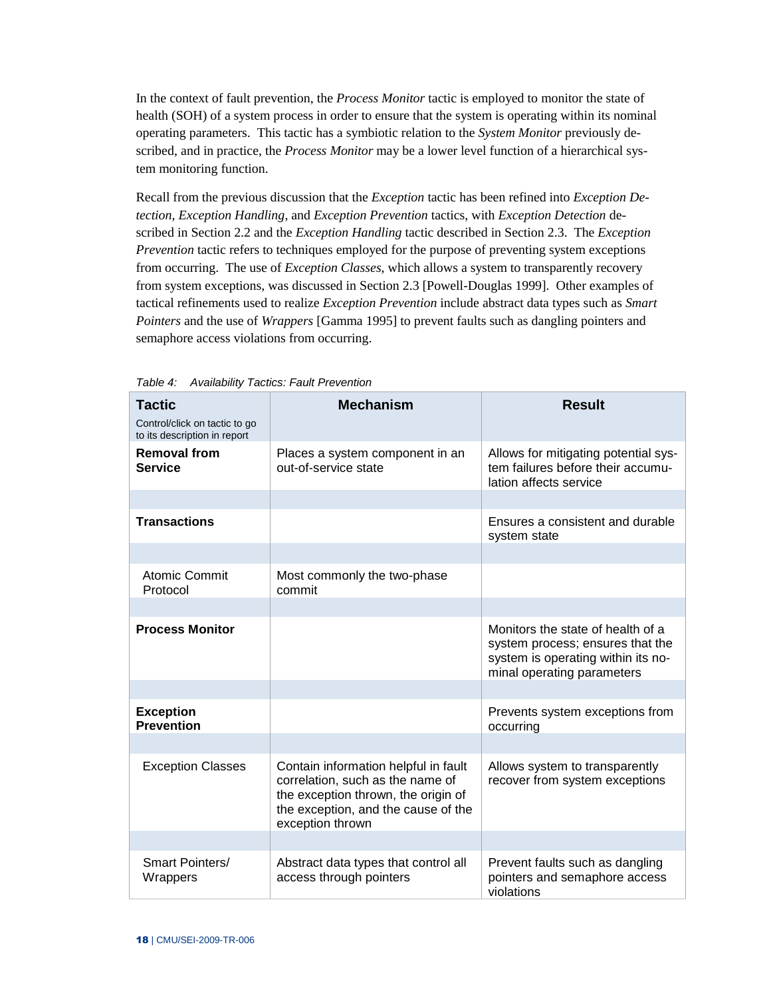<span id="page-29-1"></span>In the context of fault prevention, the *Process Monitor* tactic is employed to monitor the state of health (SOH) of a system process in order to ensure that the system is operating within its nominal operating parameters. This tactic has a symbiotic relation to the *System Monitor* previously described, and in practice, the *Process Monitor* may be a lower level function of a hierarchical system monitoring function.

<span id="page-29-2"></span>Recall from the previous discussion that the *Exception* tactic has been refined into *Exception Detection*, *Exception Handling*, and *Exception Prevention* tactics, with *Exception Detection* described in Section 2.2 and the *Exception Handling* tactic described in Section 2.3. The *Exception Prevention* tactic refers to techniques employed for the purpose of preventing system exceptions from occurring. The use of *Exception Classes*, which allows a system to transparently recovery from system exceptions, was discussed in Section 2.3 [Powell-Douglas 1999]. Other examples of tactical refinements used to realize *Exception Prevention* include abstract data types such as *Smart Pointers* and the use of *Wrappers* [Gamma 1995] to prevent faults such as dangling pointers and semaphore access violations from occurring.

| <b>Tactic</b><br>Control/click on tactic to go<br>to its description in report | <b>Mechanism</b>                                                                                                                                                           | <b>Result</b>                                                                                                                             |
|--------------------------------------------------------------------------------|----------------------------------------------------------------------------------------------------------------------------------------------------------------------------|-------------------------------------------------------------------------------------------------------------------------------------------|
| <b>Removal from</b><br><b>Service</b>                                          | Places a system component in an<br>out-of-service state                                                                                                                    | Allows for mitigating potential sys-<br>tem failures before their accumu-<br>lation affects service                                       |
|                                                                                |                                                                                                                                                                            |                                                                                                                                           |
| <b>Transactions</b>                                                            |                                                                                                                                                                            | Ensures a consistent and durable<br>system state                                                                                          |
|                                                                                |                                                                                                                                                                            |                                                                                                                                           |
| Atomic Commit<br>Protocol                                                      | Most commonly the two-phase<br>commit                                                                                                                                      |                                                                                                                                           |
|                                                                                |                                                                                                                                                                            |                                                                                                                                           |
| <b>Process Monitor</b>                                                         |                                                                                                                                                                            | Monitors the state of health of a<br>system process; ensures that the<br>system is operating within its no-<br>minal operating parameters |
|                                                                                |                                                                                                                                                                            |                                                                                                                                           |
| <b>Exception</b><br><b>Prevention</b>                                          |                                                                                                                                                                            | Prevents system exceptions from<br>occurring                                                                                              |
|                                                                                |                                                                                                                                                                            |                                                                                                                                           |
| <b>Exception Classes</b>                                                       | Contain information helpful in fault<br>correlation, such as the name of<br>the exception thrown, the origin of<br>the exception, and the cause of the<br>exception thrown | Allows system to transparently<br>recover from system exceptions                                                                          |
|                                                                                |                                                                                                                                                                            |                                                                                                                                           |
| Smart Pointers/<br>Wrappers                                                    | Abstract data types that control all<br>access through pointers                                                                                                            | Prevent faults such as dangling<br>pointers and semaphore access<br>violations                                                            |

<span id="page-29-4"></span><span id="page-29-3"></span><span id="page-29-0"></span>*Table 4: Availability Tactics: Fault Prevention*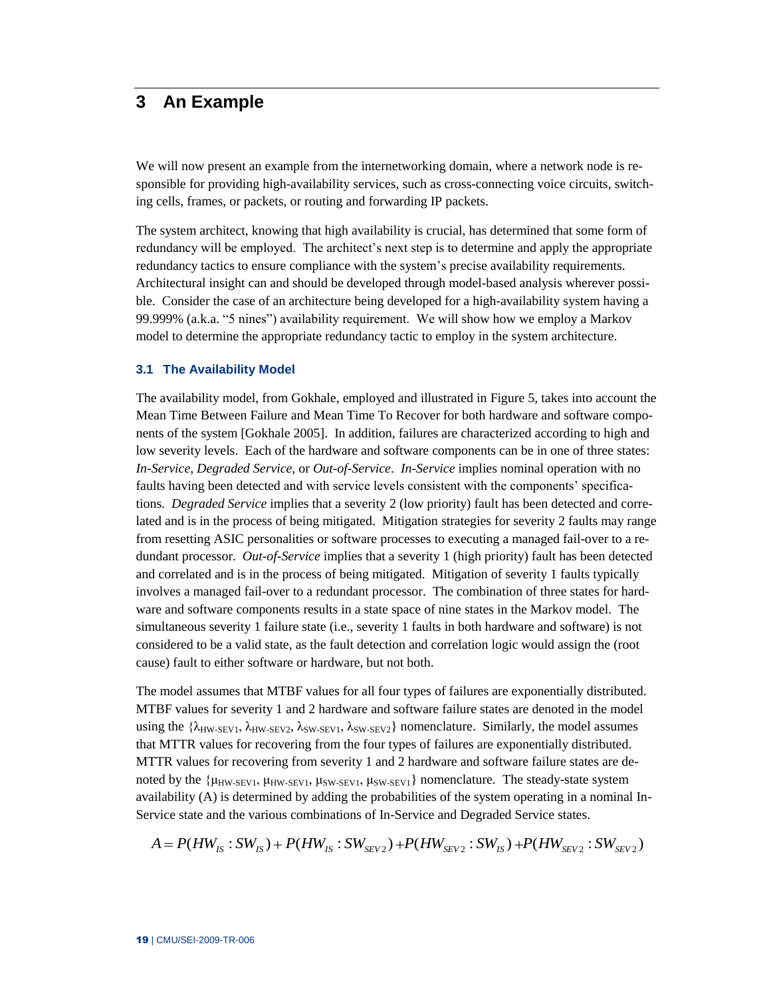### <span id="page-30-0"></span>**3 An Example**

We will now present an example from the internetworking domain, where a network node is responsible for providing high-availability services, such as cross-connecting voice circuits, switching cells, frames, or packets, or routing and forwarding IP packets.

The system architect, knowing that high availability is crucial, has determined that some form of redundancy will be employed. The architect's next step is to determine and apply the appropriate redundancy tactics to ensure compliance with the system"s precise availability requirements. Architectural insight can and should be developed through model-based analysis wherever possible. Consider the case of an architecture being developed for a high-availability system having a 99.999% (a.k.a. "5 nines") availability requirement. We will show how we employ a Markov model to determine the appropriate redundancy tactic to employ in the system architecture.

#### <span id="page-30-1"></span>**3.1 The Availability Model**

The availability model, from Gokhale, employed and illustrated in [Figure 5,](#page-31-0) takes into account the Mean Time Between Failure and Mean Time To Recover for both hardware and software components of the system [Gokhale 2005]. In addition, failures are characterized according to high and low severity levels. Each of the hardware and software components can be in one of three states: *In-Service, Degraded Service,* or *Out-of-Service*. *In-Service* implies nominal operation with no faults having been detected and with service levels consistent with the components' specifications. *Degraded Service* implies that a severity 2 (low priority) fault has been detected and correlated and is in the process of being mitigated. Mitigation strategies for severity 2 faults may range from resetting ASIC personalities or software processes to executing a managed fail-over to a redundant processor. *Out-of-Service* implies that a severity 1 (high priority) fault has been detected and correlated and is in the process of being mitigated. Mitigation of severity 1 faults typically involves a managed fail-over to a redundant processor. The combination of three states for hardware and software components results in a state space of nine states in the Markov model. The simultaneous severity 1 failure state (i.e., severity 1 faults in both hardware and software) is not considered to be a valid state, as the fault detection and correlation logic would assign the (root cause) fault to either software or hardware, but not both.

The model assumes that MTBF values for all four types of failures are exponentially distributed. MTBF values for severity 1 and 2 hardware and software failure states are denoted in the model using the  $\{\lambda_{HW-SEV1}, \lambda_{HW-SEV2}, \lambda_{SW-SEV1}, \lambda_{SW-SEV2}\}$  nomenclature. Similarly, the model assumes that MTTR values for recovering from the four types of failures are exponentially distributed. MTTR values for recovering from severity 1 and 2 hardware and software failure states are denoted by the  $\{\mu_{HW-SEVI}, \mu_{HW-SEVI}, \mu_{SW-SEVI}, \mu_{SW-SEVI}\}$  nomenclature. The steady-state system availability (A) is determined by adding the probabilities of the system operating in a nominal In-Service state and the various combinations of In-Service and Degraded Service states.

$$
A = P(HW_{IS} : SW_{IS}) + P(HW_{IS} : SW_{SEV2}) + P(HW_{SEV2} : SW_{IS}) + P(HW_{SEV2} : SW_{SEV2})
$$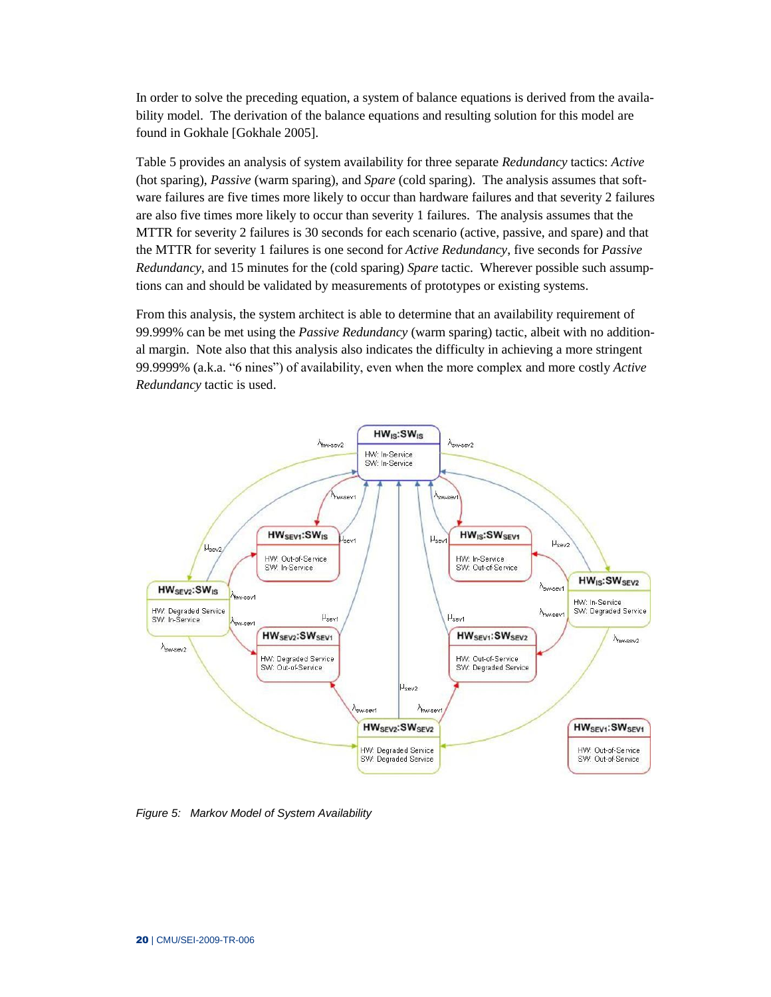In order to solve the preceding equation, a system of balance equations is derived from the availability model. The derivation of the balance equations and resulting solution for this model are found in Gokhale [Gokhale 2005].

Table 5 provides an analysis of system availability for three separate *Redundancy* tactics: *Active*  (hot sparing), *Passive* (warm sparing), and *Spare* (cold sparing). The analysis assumes that software failures are five times more likely to occur than hardware failures and that severity 2 failures are also five times more likely to occur than severity 1 failures. The analysis assumes that the MTTR for severity 2 failures is 30 seconds for each scenario (active, passive, and spare) and that the MTTR for severity 1 failures is one second for *Active Redundancy*, five seconds for *Passive Redundancy*, and 15 minutes for the (cold sparing) *Spare* tactic. Wherever possible such assumptions can and should be validated by measurements of prototypes or existing systems.

From this analysis, the system architect is able to determine that an availability requirement of 99.999% can be met using the *Passive Redundancy* (warm sparing) tactic, albeit with no additional margin. Note also that this analysis also indicates the difficulty in achieving a more stringent 99.9999% (a.k.a. "6 nines") of availability, even when the more complex and more costly *Active Redundancy* tactic is used.



<span id="page-31-0"></span>*Figure 5: Markov Model of System Availability*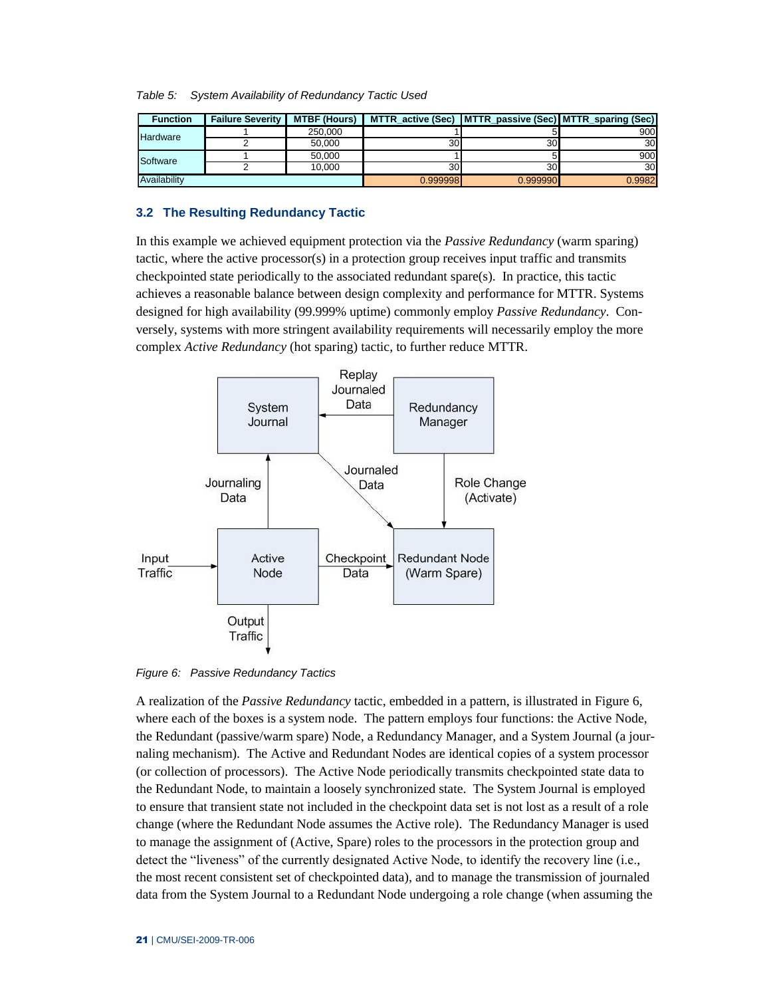|  |  | Table 5: System Availability of Redundancy Tactic Used |  |  |
|--|--|--------------------------------------------------------|--|--|
|--|--|--------------------------------------------------------|--|--|

| <b>Function</b> | <b>Failure Severity</b> | <b>MTBF</b> (Hours) |          |                 | MTTR active (Sec) MTTR passive (Sec) MTTR sparing (Sec) |
|-----------------|-------------------------|---------------------|----------|-----------------|---------------------------------------------------------|
| Hardware        |                         | 250,000             |          |                 | 900                                                     |
|                 |                         | 50.000              | 30       | 30 <sub>l</sub> | <b>30</b>                                               |
| Software        |                         | 50.000              |          |                 | 900                                                     |
|                 |                         | 10.000              | 30       | 30              | <b>30</b>                                               |
| Availability    |                         |                     | 0.999998 | 0.999990        | 0.9982                                                  |

#### <span id="page-32-0"></span>**3.2 The Resulting Redundancy Tactic**

In this example we achieved equipment protection via the *Passive Redundancy* (warm sparing) tactic, where the active processor(s) in a protection group receives input traffic and transmits checkpointed state periodically to the associated redundant spare(s). In practice, this tactic achieves a reasonable balance between design complexity and performance for MTTR. Systems designed for high availability (99.999% uptime) commonly employ *Passive Redundancy*. Conversely, systems with more stringent availability requirements will necessarily employ the more complex *Active Redundancy* (hot sparing) tactic, to further reduce MTTR.



<span id="page-32-1"></span>*Figure 6: Passive Redundancy Tactics*

A realization of the *Passive Redundancy* tactic, embedded in a pattern, is illustrated in [Figure 6,](#page-32-1) where each of the boxes is a system node. The pattern employs four functions: the Active Node, the Redundant (passive/warm spare) Node, a Redundancy Manager, and a System Journal (a journaling mechanism). The Active and Redundant Nodes are identical copies of a system processor (or collection of processors). The Active Node periodically transmits checkpointed state data to the Redundant Node, to maintain a loosely synchronized state. The System Journal is employed to ensure that transient state not included in the checkpoint data set is not lost as a result of a role change (where the Redundant Node assumes the Active role). The Redundancy Manager is used to manage the assignment of (Active, Spare) roles to the processors in the protection group and detect the "liveness" of the currently designated Active Node, to identify the recovery line (i.e., the most recent consistent set of checkpointed data), and to manage the transmission of journaled data from the System Journal to a Redundant Node undergoing a role change (when assuming the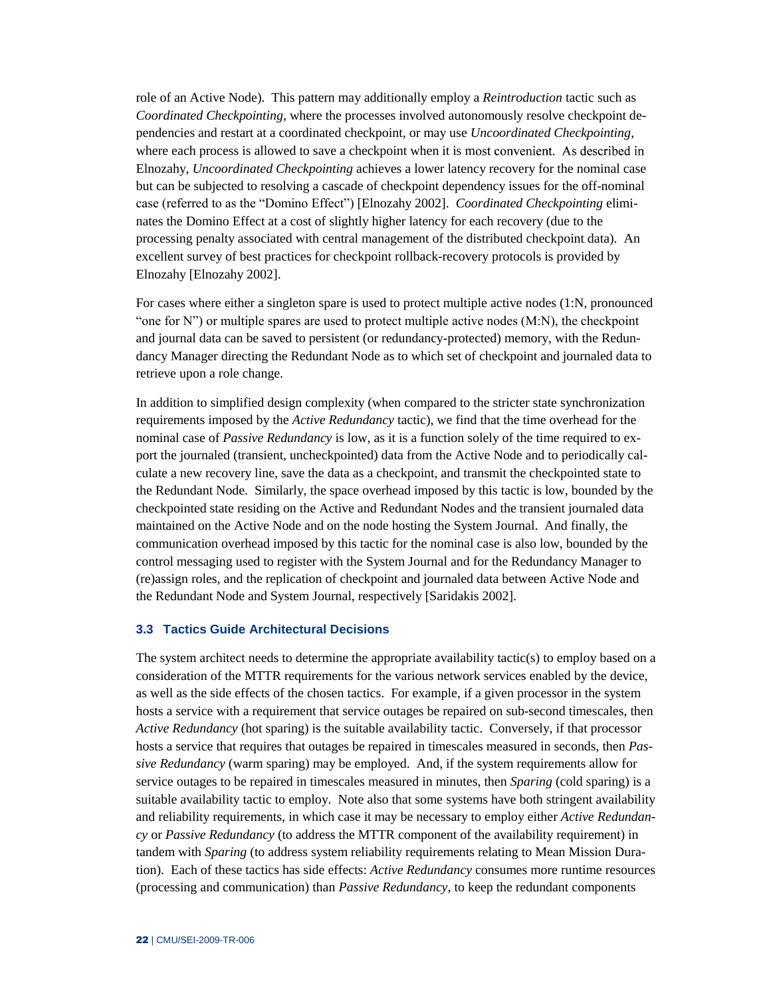role of an Active Node). This pattern may additionally employ a *Reintroduction* tactic such as *Coordinated Checkpointing*, where the processes involved autonomously resolve checkpoint dependencies and restart at a coordinated checkpoint, or may use *Uncoordinated Checkpointing*, where each process is allowed to save a checkpoint when it is most convenient. As described in Elnozahy, *Uncoordinated Checkpointing* achieves a lower latency recovery for the nominal case but can be subjected to resolving a cascade of checkpoint dependency issues for the off-nominal case (referred to as the "Domino Effect") [Elnozahy 2002]. *Coordinated Checkpointing* eliminates the Domino Effect at a cost of slightly higher latency for each recovery (due to the processing penalty associated with central management of the distributed checkpoint data). An excellent survey of best practices for checkpoint rollback-recovery protocols is provided by Elnozahy [Elnozahy 2002].

For cases where either a singleton spare is used to protect multiple active nodes (1:N, pronounced "one for N") or multiple spares are used to protect multiple active nodes (M:N), the checkpoint and journal data can be saved to persistent (or redundancy-protected) memory, with the Redundancy Manager directing the Redundant Node as to which set of checkpoint and journaled data to retrieve upon a role change.

In addition to simplified design complexity (when compared to the stricter state synchronization requirements imposed by the *Active Redundancy* tactic), we find that the time overhead for the nominal case of *Passive Redundancy* is low, as it is a function solely of the time required to export the journaled (transient, uncheckpointed) data from the Active Node and to periodically calculate a new recovery line, save the data as a checkpoint, and transmit the checkpointed state to the Redundant Node. Similarly, the space overhead imposed by this tactic is low, bounded by the checkpointed state residing on the Active and Redundant Nodes and the transient journaled data maintained on the Active Node and on the node hosting the System Journal. And finally, the communication overhead imposed by this tactic for the nominal case is also low, bounded by the control messaging used to register with the System Journal and for the Redundancy Manager to (re)assign roles, and the replication of checkpoint and journaled data between Active Node and the Redundant Node and System Journal, respectively [Saridakis 2002].

#### <span id="page-33-0"></span>**3.3 Tactics Guide Architectural Decisions**

The system architect needs to determine the appropriate availability tactic(s) to employ based on a consideration of the MTTR requirements for the various network services enabled by the device, as well as the side effects of the chosen tactics. For example, if a given processor in the system hosts a service with a requirement that service outages be repaired on sub-second timescales, then *Active Redundancy* (hot sparing) is the suitable availability tactic. Conversely, if that processor hosts a service that requires that outages be repaired in timescales measured in seconds, then *Passive Redundancy* (warm sparing) may be employed. And, if the system requirements allow for service outages to be repaired in timescales measured in minutes, then *Sparing* (cold sparing) is a suitable availability tactic to employ. Note also that some systems have both stringent availability and reliability requirements, in which case it may be necessary to employ either *Active Redundancy* or *Passive Redundancy* (to address the MTTR component of the availability requirement) in tandem with *Sparing* (to address system reliability requirements relating to Mean Mission Duration). Each of these tactics has side effects: *Active Redundancy* consumes more runtime resources (processing and communication) than *Passive Redundancy*, to keep the redundant components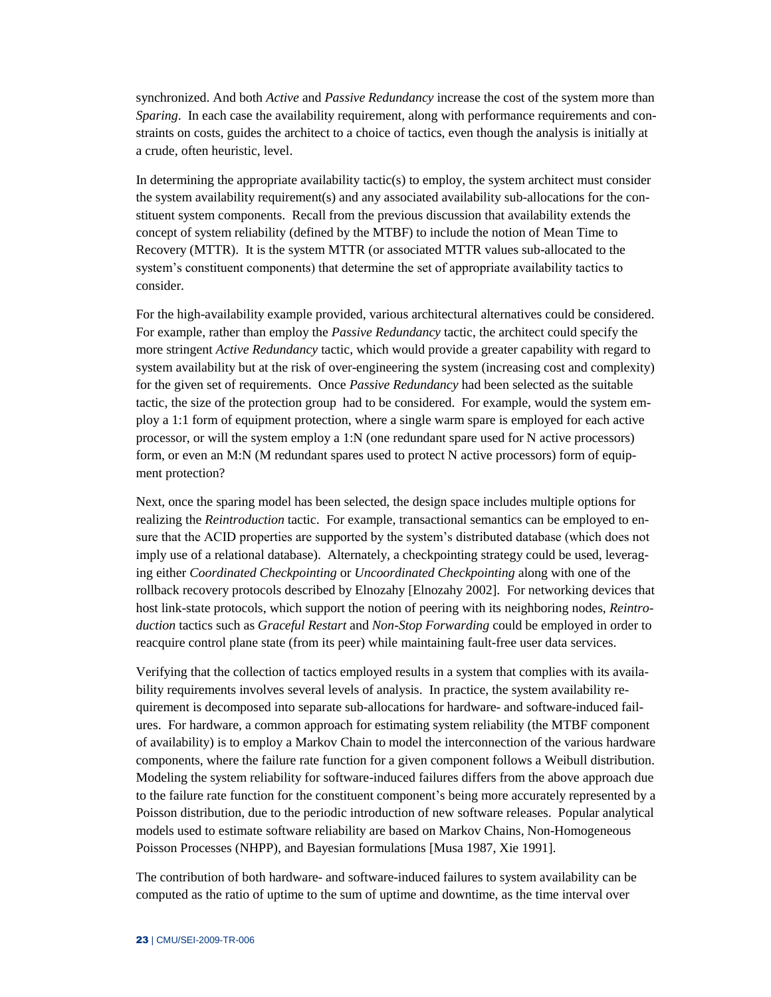synchronized. And both *Active* and *Passive Redundancy* increase the cost of the system more than *Sparing*. In each case the availability requirement, along with performance requirements and constraints on costs, guides the architect to a choice of tactics, even though the analysis is initially at a crude, often heuristic, level.

In determining the appropriate availability tactic(s) to employ, the system architect must consider the system availability requirement(s) and any associated availability sub-allocations for the constituent system components. Recall from the previous discussion that availability extends the concept of system reliability (defined by the MTBF) to include the notion of Mean Time to Recovery (MTTR). It is the system MTTR (or associated MTTR values sub-allocated to the system"s constituent components) that determine the set of appropriate availability tactics to consider.

For the high-availability example provided, various architectural alternatives could be considered. For example, rather than employ the *Passive Redundancy* tactic, the architect could specify the more stringent *Active Redundancy* tactic, which would provide a greater capability with regard to system availability but at the risk of over-engineering the system (increasing cost and complexity) for the given set of requirements. Once *Passive Redundancy* had been selected as the suitable tactic, the size of the protection group had to be considered. For example, would the system employ a 1:1 form of equipment protection, where a single warm spare is employed for each active processor, or will the system employ a 1:N (one redundant spare used for N active processors) form, or even an M:N (M redundant spares used to protect N active processors) form of equipment protection?

Next, once the sparing model has been selected, the design space includes multiple options for realizing the *Reintroduction* tactic. For example, transactional semantics can be employed to ensure that the ACID properties are supported by the system"s distributed database (which does not imply use of a relational database). Alternately, a checkpointing strategy could be used, leveraging either *Coordinated Checkpointing* or *Uncoordinated Checkpointing* along with one of the rollback recovery protocols described by Elnozahy [Elnozahy 2002]. For networking devices that host link-state protocols, which support the notion of peering with its neighboring nodes, *Reintroduction* tactics such as *Graceful Restart* and *Non-Stop Forwarding* could be employed in order to reacquire control plane state (from its peer) while maintaining fault-free user data services.

Verifying that the collection of tactics employed results in a system that complies with its availability requirements involves several levels of analysis. In practice, the system availability requirement is decomposed into separate sub-allocations for hardware- and software-induced failures. For hardware, a common approach for estimating system reliability (the MTBF component of availability) is to employ a Markov Chain to model the interconnection of the various hardware components, where the failure rate function for a given component follows a Weibull distribution. Modeling the system reliability for software-induced failures differs from the above approach due to the failure rate function for the constituent component"s being more accurately represented by a Poisson distribution, due to the periodic introduction of new software releases. Popular analytical models used to estimate software reliability are based on Markov Chains, Non-Homogeneous Poisson Processes (NHPP), and Bayesian formulations [Musa 1987, Xie 1991].

The contribution of both hardware- and software-induced failures to system availability can be computed as the ratio of uptime to the sum of uptime and downtime, as the time interval over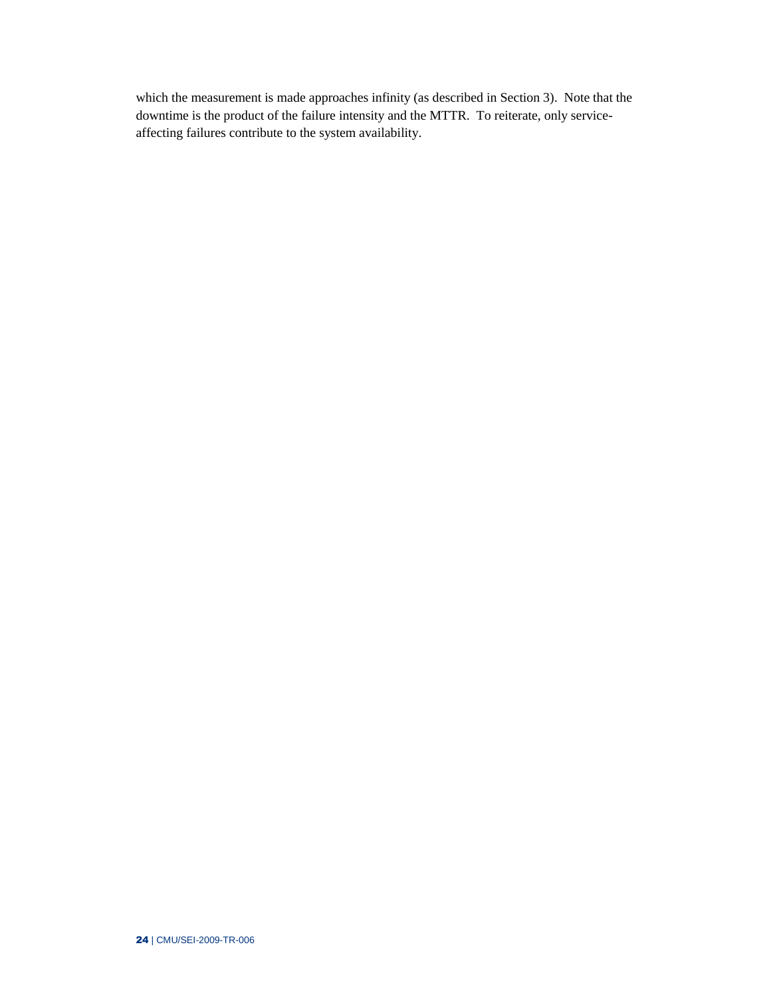which the measurement is made approaches infinity (as described in Section 3). Note that the downtime is the product of the failure intensity and the MTTR. To reiterate, only serviceaffecting failures contribute to the system availability.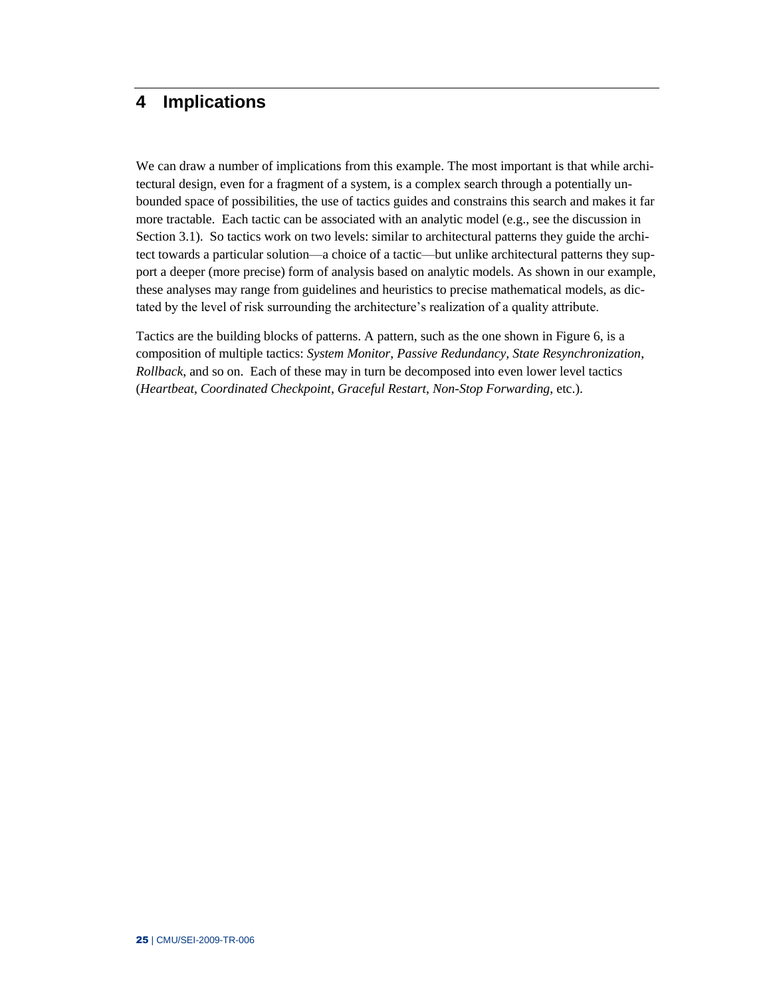## <span id="page-36-0"></span>**4 Implications**

We can draw a number of implications from this example. The most important is that while architectural design, even for a fragment of a system, is a complex search through a potentially unbounded space of possibilities, the use of tactics guides and constrains this search and makes it far more tractable. Each tactic can be associated with an analytic model (e.g., see the discussion in Section [3.1\)](#page-30-1). So tactics work on two levels: similar to architectural patterns they guide the architect towards a particular solution—a choice of a tactic—but unlike architectural patterns they support a deeper (more precise) form of analysis based on analytic models. As shown in our example, these analyses may range from guidelines and heuristics to precise mathematical models, as dictated by the level of risk surrounding the architecture"s realization of a quality attribute.

Tactics are the building blocks of patterns. A pattern, such as the one shown in [Figure 6,](#page-32-1) is a composition of multiple tactics: *System Monitor*, *Passive Redundancy, State Resynchronization*, *Rollback*, and so on. Each of these may in turn be decomposed into even lower level tactics (*Heartbeat*, *Coordinated Checkpoint*, *Graceful Restart*, *Non-Stop Forwarding*, etc.).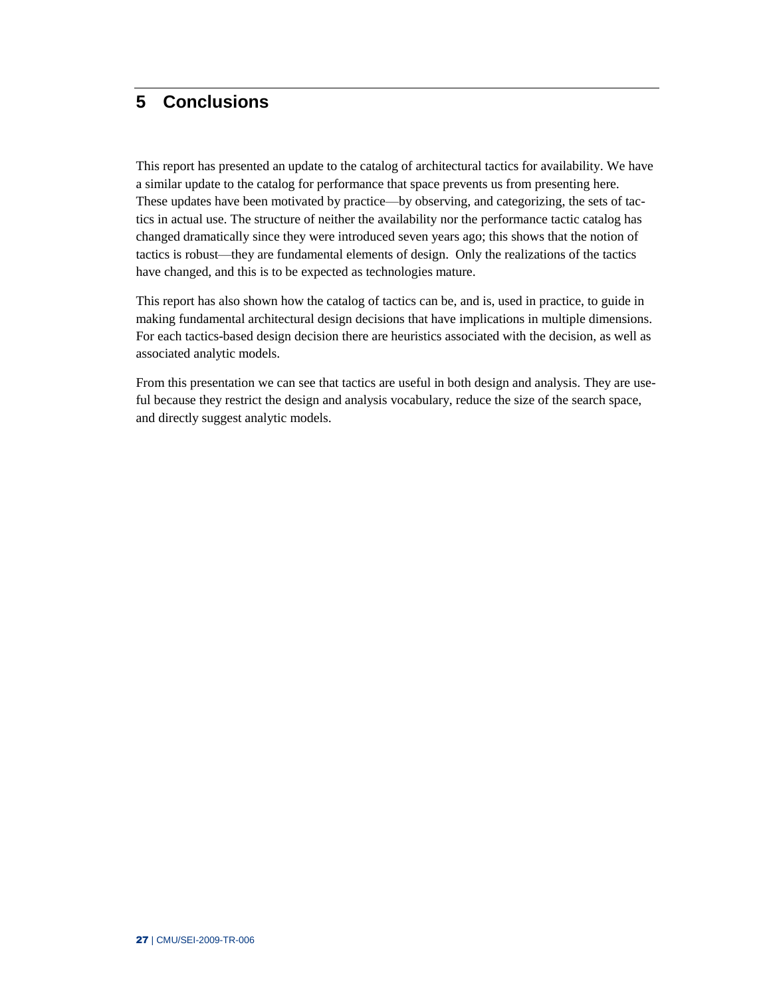## <span id="page-38-0"></span>**5 Conclusions**

This report has presented an update to the catalog of architectural tactics for availability. We have a similar update to the catalog for performance that space prevents us from presenting here. These updates have been motivated by practice—by observing, and categorizing, the sets of tactics in actual use. The structure of neither the availability nor the performance tactic catalog has changed dramatically since they were introduced seven years ago; this shows that the notion of tactics is robust—they are fundamental elements of design. Only the realizations of the tactics have changed, and this is to be expected as technologies mature.

This report has also shown how the catalog of tactics can be, and is, used in practice, to guide in making fundamental architectural design decisions that have implications in multiple dimensions. For each tactics-based design decision there are heuristics associated with the decision, as well as associated analytic models.

From this presentation we can see that tactics are useful in both design and analysis. They are useful because they restrict the design and analysis vocabulary, reduce the size of the search space, and directly suggest analytic models.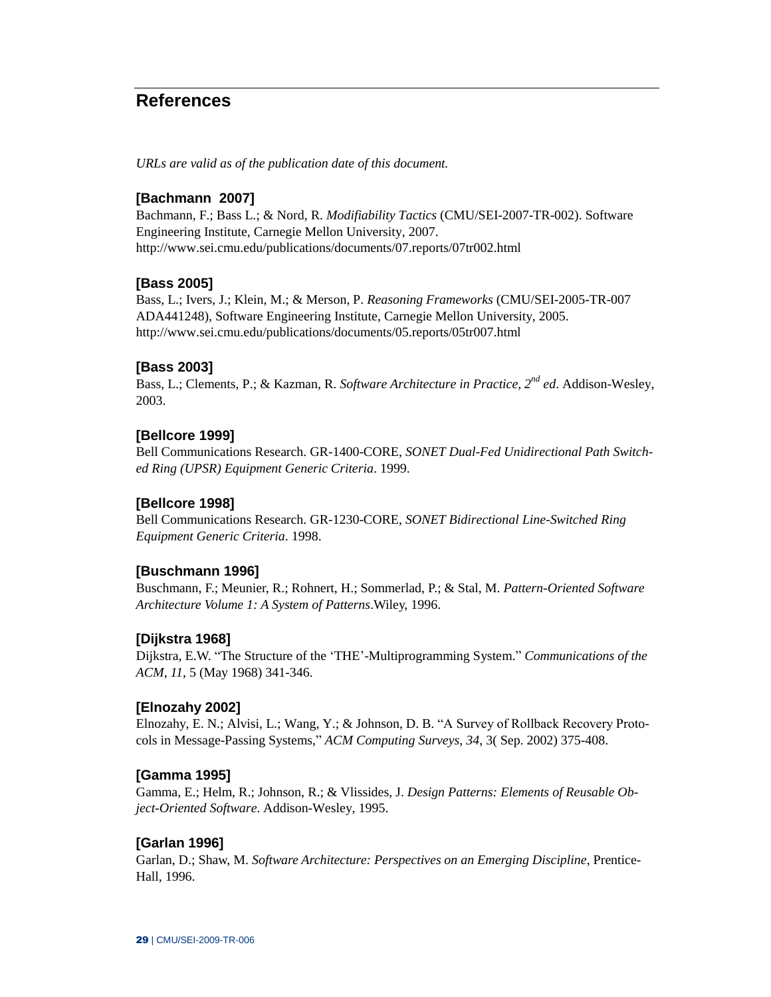### <span id="page-40-0"></span>**References**

*URLs are valid as of the publication date of this document.*

#### **[Bachmann 2007]**

Bachmann, F.; Bass L.; & Nord, R. *Modifiability Tactics* (CMU/SEI-2007-TR-002). Software Engineering Institute, Carnegie Mellon University, 2007. <http://www.sei.cmu.edu/publications/documents/07.reports/07tr002.html>

#### **[Bass 2005]**

Bass, L.; Ivers, J.; Klein, M.; & Merson, P. *Reasoning Frameworks* (CMU/SEI-2005-TR-007 ADA441248), Software Engineering Institute, Carnegie Mellon University, 2005. <http://www.sei.cmu.edu/publications/documents/05.reports/05tr007.html>

#### **[Bass 2003]**

Bass, L.; Clements, P.; & Kazman, R. *Software Architecture in Practice, 2<sup>nd</sup> ed*. Addison-Wesley, 2003.

#### **[Bellcore 1999]**

Bell Communications Research. GR-1400-CORE, *SONET Dual-Fed Unidirectional Path Switched Ring (UPSR) Equipment Generic Criteria*. 1999.

#### **[Bellcore 1998]**

Bell Communications Research. GR-1230-CORE, *SONET Bidirectional Line-Switched Ring Equipment Generic Criteria*. 1998.

#### **[Buschmann 1996]**

Buschmann, F.; Meunier, R.; Rohnert, H.; Sommerlad, P.; & Stal, M. *Pattern-Oriented Software Architecture Volume 1: A System of Patterns*.Wiley, 1996.

#### **[Dijkstra 1968]**

Dijkstra, E.W. "The Structure of the "THE"-Multiprogramming System." *Communications of the ACM*, *11*, 5 (May 1968) 341-346.

#### **[Elnozahy 2002]**

Elnozahy, E. N.; Alvisi, L.; Wang, Y.; & Johnson, D. B. "A Survey of Rollback Recovery Protocols in Message-Passing Systems," *ACM Computing Surveys*, *34*, 3( Sep. 2002) 375-408.

#### **[Gamma 1995]**

Gamma, E.; Helm, R.; Johnson, R.; & Vlissides, J. *Design Patterns: Elements of Reusable Object-Oriented Software*. Addison-Wesley, 1995.

#### **[Garlan 1996]**

Garlan, D.; Shaw, M. *Software Architecture: Perspectives on an Emerging Discipline*, Prentice-Hall, 1996.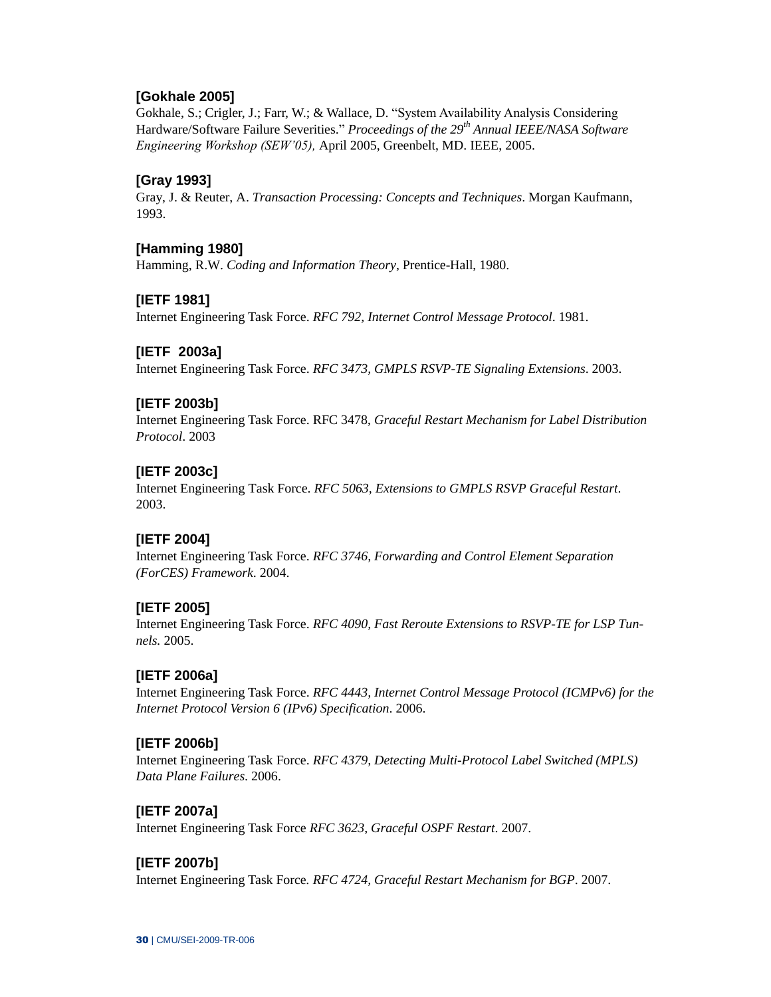#### **[Gokhale 2005]**

Gokhale, S.; Crigler, J.; Farr, W.; & Wallace, D. "System Availability Analysis Considering Hardware/Software Failure Severities." *Proceedings of the 29th Annual IEEE/NASA Software Engineering Workshop (SEW'05),* April 2005, Greenbelt, MD. IEEE, 2005.

#### **[Gray 1993]**

Gray, J. & Reuter, A. *Transaction Processing: Concepts and Techniques*. Morgan Kaufmann, 1993.

#### **[Hamming 1980]**

Hamming, R.W. *Coding and Information Theory*, Prentice-Hall, 1980.

#### **[IETF 1981]**

Internet Engineering Task Force. *RFC 792, Internet Control Message Protocol*. 1981.

#### **[IETF 2003a]**

Internet Engineering Task Force. *RFC 3473, GMPLS RSVP-TE Signaling Extensions*. 2003.

#### **[IETF 2003b]**

Internet Engineering Task Force. RFC 3478, *Graceful Restart Mechanism for Label Distribution Protocol*. 2003

#### **[IETF 2003c]**

Internet Engineering Task Force. *RFC 5063, Extensions to GMPLS RSVP Graceful Restart*. 2003.

#### **[IETF 2004]**

Internet Engineering Task Force. *RFC 3746, Forwarding and Control Element Separation (ForCES) Framework*. 2004.

#### **[IETF 2005]**

Internet Engineering Task Force. *RFC 4090, Fast Reroute Extensions to RSVP-TE for LSP Tunnels.* 2005.

#### **[IETF 2006a]**

Internet Engineering Task Force. *RFC 4443, Internet Control Message Protocol (ICMPv6) for the Internet Protocol Version 6 (IPv6) Specification*. 2006.

#### **[IETF 2006b]**

Internet Engineering Task Force. *RFC 4379, Detecting Multi-Protocol Label Switched (MPLS) Data Plane Failures*. 2006.

#### **[IETF 2007a]**

Internet Engineering Task Force *RFC 3623*, *Graceful OSPF Restart*. 2007.

#### **[IETF 2007b]**

Internet Engineering Task Force*. RFC 4724, Graceful Restart Mechanism for BGP*. 2007.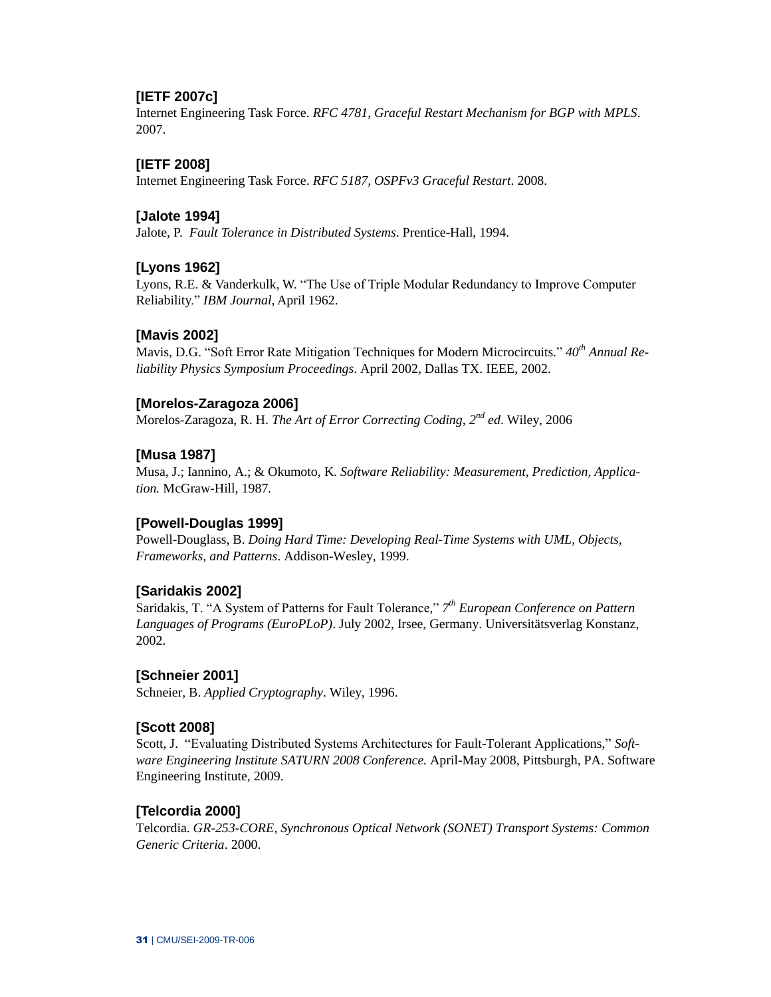#### **[IETF 2007c]**

Internet Engineering Task Force. *RFC 4781, Graceful Restart Mechanism for BGP with MPLS*. 2007.

#### **[IETF 2008]**

Internet Engineering Task Force. *RFC 5187, OSPFv3 Graceful Restart*. 2008.

#### **[Jalote 1994]**

Jalote, P. *Fault Tolerance in Distributed Systems*. Prentice-Hall, 1994.

#### **[Lyons 1962]**

Lyons, R.E. & Vanderkulk, W. "The Use of Triple Modular Redundancy to Improve Computer Reliability." *IBM Journal*, April 1962.

#### **[Mavis 2002]**

Mavis, D.G. "Soft Error Rate Mitigation Techniques for Modern Microcircuits." *40th Annual Reliability Physics Symposium Proceedings*. April 2002, Dallas TX. IEEE, 2002.

#### **[Morelos-Zaragoza 2006]**

Morelos-Zaragoza, R. H. *The Art of Error Correcting Coding*, *2 nd ed*. Wiley, 2006

#### **[Musa 1987]**

Musa, J.; Iannino, A.; & Okumoto, K. *Software Reliability: Measurement, Prediction, Application.* McGraw-Hill, 1987*.*

#### **[Powell-Douglas 1999]**

Powell-Douglass, B. *Doing Hard Time: Developing Real-Time Systems with UML, Objects, Frameworks, and Patterns*. Addison-Wesley, 1999.

#### **[Saridakis 2002]**

Saridakis, T. "A System of Patterns for Fault Tolerance," *7 th European Conference on Pattern Languages of Programs (EuroPLoP)*. July 2002, Irsee, Germany. Universitätsverlag Konstanz, 2002.

#### **[Schneier 2001]**

Schneier, B. *Applied Cryptography*. Wiley, 1996.

#### **[Scott 2008]**

Scott, J. "Evaluating Distributed Systems Architectures for Fault-Tolerant Applications," *Software Engineering Institute SATURN 2008 Conference.* April-May 2008, Pittsburgh, PA. Software Engineering Institute, 2009.

#### **[Telcordia 2000]**

Telcordia. *GR-253-CORE, Synchronous Optical Network (SONET) Transport Systems: Common Generic Criteria*. 2000.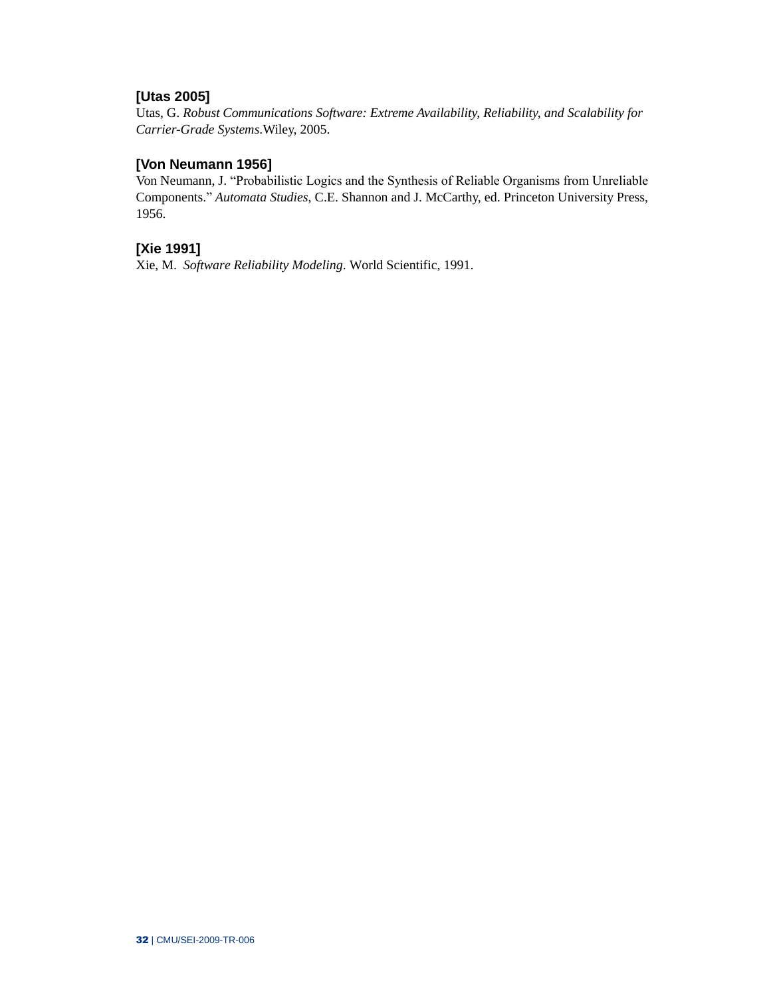#### **[Utas 2005]**

Utas, G. *Robust Communications Software: Extreme Availability, Reliability, and Scalability for Carrier-Grade Systems*.Wiley, 2005.

#### **[Von Neumann 1956]**

Von Neumann, J. "Probabilistic Logics and the Synthesis of Reliable Organisms from Unreliable Components." *Automata Studies*, C.E. Shannon and J. McCarthy, ed. Princeton University Press, 1956.

#### **[Xie 1991]**

Xie, M. *Software Reliability Modeling*. World Scientific, 1991.